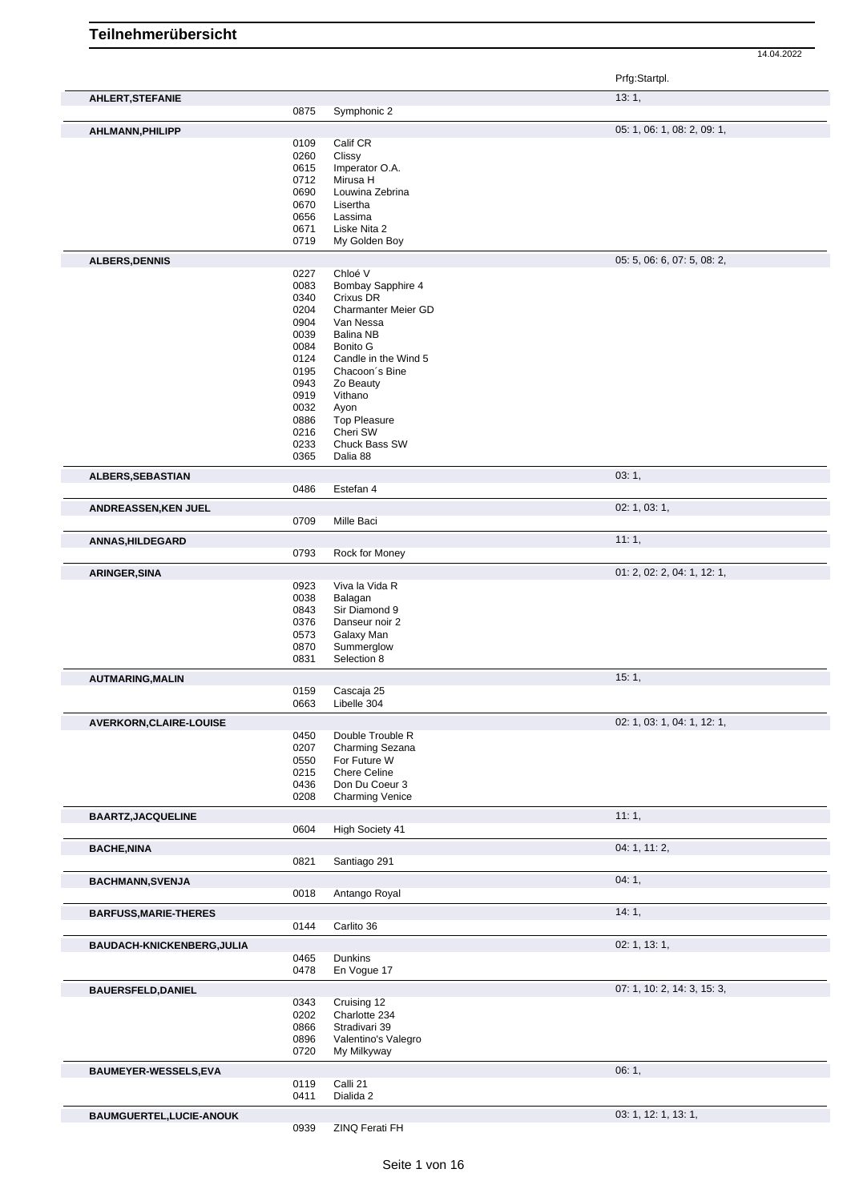|                              |              |                                 | Prfg:Startpl.               |
|------------------------------|--------------|---------------------------------|-----------------------------|
| AHLERT, STEFANIE             |              |                                 | 13:1,                       |
|                              | 0875         | Symphonic 2                     |                             |
| AHLMANN, PHILIPP             |              |                                 | 05: 1, 06: 1, 08: 2, 09: 1, |
|                              | 0109         | Calif CR                        |                             |
|                              | 0260         | Clissy                          |                             |
|                              | 0615<br>0712 | Imperator O.A.<br>Mirusa H      |                             |
|                              | 0690         | Louwina Zebrina                 |                             |
|                              | 0670         | Lisertha                        |                             |
|                              | 0656         | Lassima                         |                             |
|                              | 0671         | Liske Nita 2                    |                             |
|                              | 0719         | My Golden Boy                   |                             |
| <b>ALBERS, DENNIS</b>        |              |                                 | 05: 5, 06: 6, 07: 5, 08: 2, |
|                              | 0227         | Chloé V                         |                             |
|                              | 0083<br>0340 | Bombay Sapphire 4<br>Crixus DR  |                             |
|                              | 0204         | Charmanter Meier GD             |                             |
|                              | 0904         | Van Nessa                       |                             |
|                              | 0039         | <b>Balina NB</b>                |                             |
|                              | 0084         | Bonito G                        |                             |
|                              | 0124         | Candle in the Wind 5            |                             |
|                              | 0195<br>0943 | Chacoon's Bine<br>Zo Beauty     |                             |
|                              | 0919         | Vithano                         |                             |
|                              | 0032         | Ayon                            |                             |
|                              | 0886         | <b>Top Pleasure</b>             |                             |
|                              | 0216         | Cheri SW                        |                             |
|                              | 0233         | Chuck Bass SW                   |                             |
|                              | 0365         | Dalia 88                        |                             |
| ALBERS, SEBASTIAN            |              |                                 | 03:1,                       |
|                              | 0486         | Estefan 4                       |                             |
| ANDREASSEN, KEN JUEL         |              |                                 | 02: 1, 03: 1,               |
|                              | 0709         | Mille Baci                      |                             |
| <b>ANNAS, HILDEGARD</b>      |              |                                 | 11:1,                       |
|                              | 0793         | Rock for Money                  |                             |
| <b>ARINGER, SINA</b>         |              |                                 | 01: 2, 02: 2, 04: 1, 12: 1, |
|                              | 0923         | Viva la Vida R                  |                             |
|                              | 0038<br>0843 | Balagan<br>Sir Diamond 9        |                             |
|                              | 0376         | Danseur noir 2                  |                             |
|                              | 0573         | Galaxy Man                      |                             |
|                              | 0870         | Summerglow                      |                             |
|                              | 0831         | Selection 8                     |                             |
| <b>AUTMARING, MALIN</b>      |              |                                 | 15:1,                       |
|                              | 0159         | Cascaja 25                      |                             |
|                              | 0663         | Libelle 304                     |                             |
| AVERKORN, CLAIRE-LOUISE      |              |                                 | 02: 1, 03: 1, 04: 1, 12: 1, |
|                              | 0450         | Double Trouble R                |                             |
|                              | 0207<br>0550 | Charming Sezana<br>For Future W |                             |
|                              | 0215         | Chere Celine                    |                             |
|                              | 0436         | Don Du Coeur 3                  |                             |
|                              | 0208         | <b>Charming Venice</b>          |                             |
| <b>BAARTZ, JACQUELINE</b>    |              |                                 | 11:1,                       |
|                              | 0604         | High Society 41                 |                             |
| <b>BACHE, NINA</b>           |              |                                 | 04: 1, 11: 2,               |
|                              | 0821         | Santiago 291                    |                             |
| <b>BACHMANN, SVENJA</b>      |              |                                 | 04:1,                       |
|                              | 0018         | Antango Royal                   |                             |
| <b>BARFUSS, MARIE-THERES</b> |              |                                 | 14:1,                       |
|                              | 0144         | Carlito 36                      |                             |
|                              |              |                                 | 02: 1, 13: 1,               |
| BAUDACH-KNICKENBERG, JULIA   | 0465         | Dunkins                         |                             |
|                              | 0478         | En Vogue 17                     |                             |
| <b>BAUERSFELD, DANIEL</b>    |              |                                 | 07: 1, 10: 2, 14: 3, 15: 3, |
|                              | 0343         | Cruising 12                     |                             |
|                              | 0202         | Charlotte 234                   |                             |
|                              | 0866         | Stradivari 39                   |                             |
|                              | 0896         | Valentino's Valegro             |                             |
|                              | 0720         | My Milkyway                     |                             |
| BAUMEYER-WESSELS,EVA         |              |                                 | 06:1,                       |
|                              | 0119         | Calli 21                        |                             |
|                              | 0411         | Dialida 2                       |                             |
| BAUMGUERTEL, LUCIE-ANOUK     |              |                                 | 03: 1, 12: 1, 13: 1,        |
|                              | 0939         | ZINQ Ferati FH                  |                             |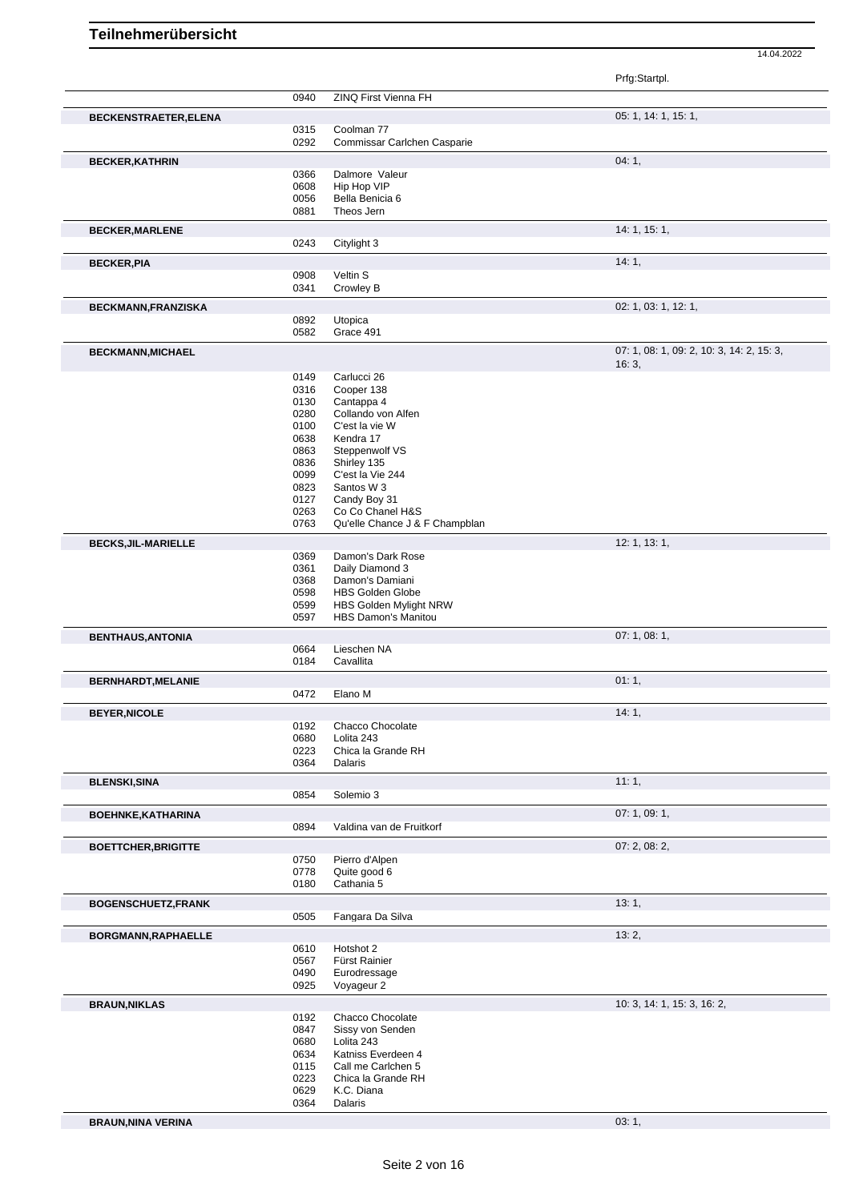14.04.2022 Prfg:Startpl. 0940 ZINQ First Vienna FH **BECKENSTRAETER,ELENA** 0315 Coolman 77 05: 1, 14: 1, 15: 1, 15: 1, 15: 1, 15: 1, 15: 1, 15: 1, 15: 1, 15: 1, 15: 1, 15: 1, 15: 1, 15: 1, 15: 1, 15: 1, 15: 1, 15: 1, 15: 1, 15: 1, 15: 1, 15: 1, 15: 1, 15: 1, 15: 1, 15: 1, 1 Coolman 77 0292 Commissar Carlchen Casparie **BECKER, KATHRIN** 04: 1, **04: 1,** 04: 1, 04: 1, 04: 1, 04: 1, 04: 1, 04: 1, 04: 1, 04: 1, 04: 1, 04: 1, 04: 1, 04: 1, 04: 1, 04: 1, 04: 1, 04: 1, 04: 1, 04: 1, 04: 1, 04: 1, 04: 1, 04: 1, 04: 1, 04: 04: 04: 04: 04: 04: 04: 0366 Dalmore Valeur 0608 Hip Hop VIP 0056 Bella Benicia 6<br>0881 Theos Jern Theos Jern **BECKER, MARLENE** 14: 1, 15: 1, 0243 Citylight 3 **BECKER, PIA** 14: 1, 0908 Veltin S<br>0341 Crowley Crowley B **BECKMANN,FRANZISKA** 02: 1, 03: 1, 12: 1, 03: 1, 12: 1, 03: 1, 12: 1, 03: 1, 12: 1, 03: 1, 12: 1, 03: 1, 12: 1, 0892 Utopica<br>0582 Grace 4 Grace 491 **BECKMANN,MICHAEL 07: 1, 08: 1, 09: 2, 10: 3, 14: 2, 15: 3, 14: 2, 15: 3, 14: 2, 15: 3, 14: 2, 15: 3, 14: 2, 15: 3, 14: 2, 15: 3, 14: 2, 15: 3, 14: 2, 15: 3, 14: 2, 15: 3, 14: 2, 15: 3, 14: 2, 15: 3, 14: 2, 15: 3, 14: 2, 1** 16: 3, 0149 Carlucci 26<br>0316 Cooper 138 0316 Cooper 138<br>0130 Cantanna 4 0130 Cantappa 4<br>0280 Collando vo Collando von Alfen 0100 C'est la vie W 0638 Kendra 17 0863 Steppenwolf VS 0836 Shirley 135 0099 C'est la Vie 244 0823 Santos W 3<br>0127 Candy Boy 3 Candy Boy 31 0263 Co Co Chanel H&S<br>0763 Qu'elle Chance J & Qu'elle Chance J & F Champblan **BECKS,JIL-MARIELLE** 12: 1, 13: 1, 0369 Damon's Dark Rose<br>0361 Daily Diamond 3 0361 Daily Diamond 3<br>0368 Damon's Damiar 0368 Damon's Damiani<br>0598 HBS Golden Glob 0598 HBS Golden Globe<br>0599 HBS Golden Myligh 0599 HBS Golden Mylight NRW<br>0597 HBS Damon's Manitou HBS Damon's Manitou **BENTHAUS,ANTONIA** 07: 1, 08: 1, 08: 1, 08: 1, 08: 1, 08: 1, 08: 1, 09: 1, 09: 1, 09: 1, 09: 1, 09: 1, 09: 1, 09: 1, 09: 1, 09: 1, 09: 1, 09: 1, 09: 1, 09: 1, 09: 1, 09: 1, 09: 1, 09: 1, 09: 1, 09: 1, 09: 1, 09: 1, 09: 1, Lieschen NA 0184 Cavallita **BERNHARDT, MELANIE** 01: 1, 0472 Elano M **BEYER, NICOLE** 14: 1, 0192 Chacco Chocolate<br>0680 Lolita 243 Lolita 243 0223 Chica la Grande RH<br>0364 Dalaris Dalaris **BLENSKI,SINA** 11: 1, Solemio 3 **BOEHNKE,KATHARINA** 07: 1, 09: 1, 09: 1, 09: 1, 09: 1, 09: 1, 09: 1, 09: 1, 09: 1, 09: 1, 09: 1, 09: 1, 09: 1, 09: 1, Valdina van de Fruitkorf **BOETTCHER,BRIGITTE** 07: 2, 08: 2, 0750 Pierro d'Alpen<br>0778 Quite good 6 0778 Quite good 6<br>0180 Cathania 5 Cathania 5 **BOGENSCHUETZ,FRANK** 13: 1, 0505 Fangara Da Silva Fangara Da Silva **BORGMANN,RAPHAELLE** 13: 2, 0610 Hotshot 2 0610 Hotshot 2<br>0567 Fürst Rair 0567 Fürst Rainier<br>0490 Eurodressage 0490 Eurodressage<br>0925 Voyageur 2 Voyageur 2 **BRAUN,NIKLAS** 10: 3, 14: 1, 15: 3, 16: 2, 0192 Chacco Chocolate 10: 2, 10: 2, 10: 3, 14: 1, 15: 3, 16: 2, 0192 Chacco Chocolate<br>0847 Sissy von Senden 0847 Sissy von Senden<br>0680 Lolita 243 0680 Lolita 243<br>0634 Katniss Ev Katniss Everdeen 4 0115 Call me Carlchen 5 0223 Chica la Grande RH<br>0629 K.C. Diana 0629 K.C. Diana<br>0364 Dalaris Dalaris

**BRAUN,NINA VERINA** 03: 1,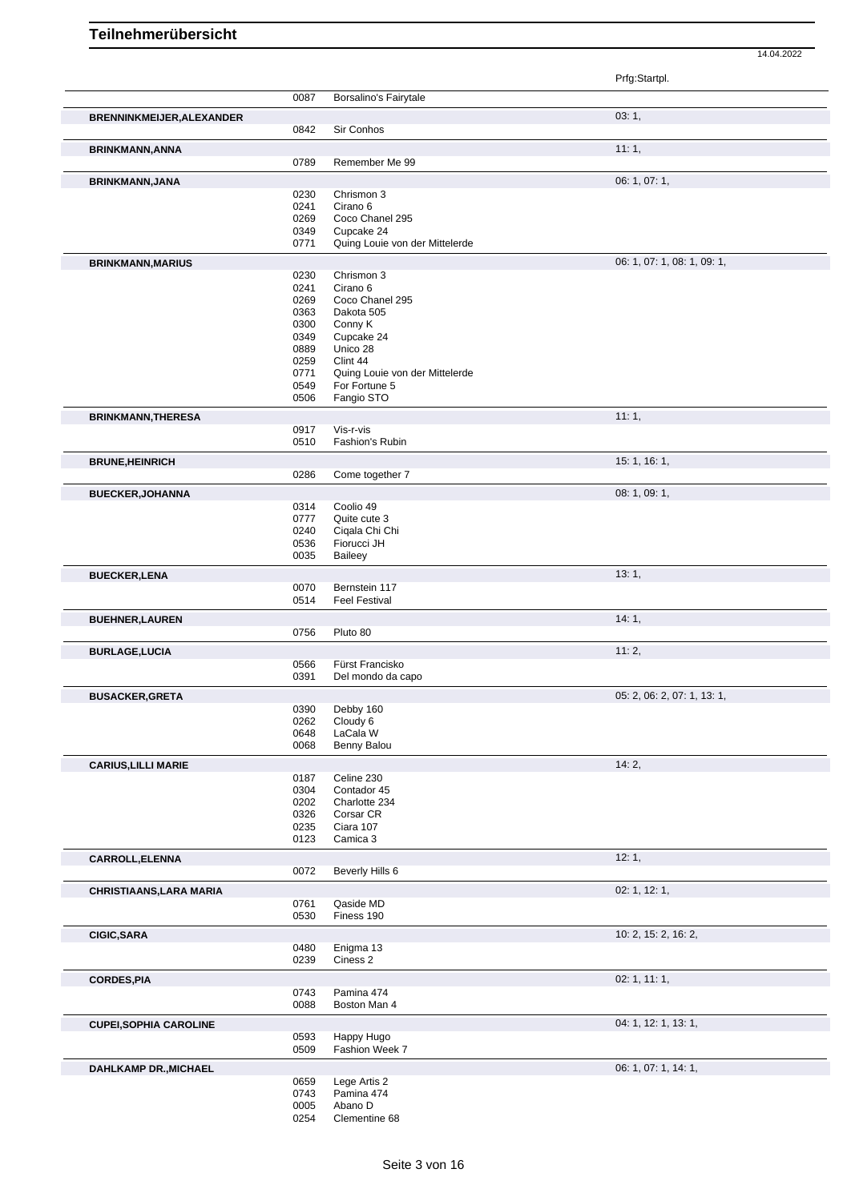|                                  |              |                                      | Prfg:Startpl.               |
|----------------------------------|--------------|--------------------------------------|-----------------------------|
|                                  | 0087         | Borsalino's Fairytale                |                             |
| <b>BRENNINKMEIJER, ALEXANDER</b> |              |                                      | 03:1,                       |
|                                  | 0842         | Sir Conhos                           |                             |
| <b>BRINKMANN, ANNA</b>           |              |                                      | 11:1,                       |
|                                  | 0789         | Remember Me 99                       |                             |
| <b>BRINKMANN, JANA</b>           |              |                                      | 06: 1, 07: 1,               |
|                                  | 0230<br>0241 | Chrismon 3<br>Cirano 6               |                             |
|                                  | 0269         | Coco Chanel 295                      |                             |
|                                  | 0349         | Cupcake 24                           |                             |
|                                  | 0771         | Quing Louie von der Mittelerde       |                             |
| <b>BRINKMANN, MARIUS</b>         |              |                                      | 06: 1, 07: 1, 08: 1, 09: 1, |
|                                  | 0230<br>0241 | Chrismon 3<br>Cirano 6               |                             |
|                                  | 0269         | Coco Chanel 295                      |                             |
|                                  | 0363         | Dakota 505                           |                             |
|                                  | 0300         | Conny K                              |                             |
|                                  | 0349<br>0889 | Cupcake 24<br>Unico 28               |                             |
|                                  | 0259         | Clint 44                             |                             |
|                                  | 0771         | Quing Louie von der Mittelerde       |                             |
|                                  | 0549         | For Fortune 5                        |                             |
|                                  | 0506         | Fangio STO                           |                             |
| <b>BRINKMANN, THERESA</b>        |              |                                      | 11:1,                       |
|                                  | 0917<br>0510 | Vis-r-vis<br>Fashion's Rubin         |                             |
| <b>BRUNE, HEINRICH</b>           |              |                                      | 15: 1, 16: 1,               |
|                                  | 0286         | Come together 7                      |                             |
| <b>BUECKER, JOHANNA</b>          |              |                                      | 08: 1, 09: 1,               |
|                                  | 0314         | Coolio 49                            |                             |
|                                  | 0777         | Quite cute 3                         |                             |
|                                  | 0240         | Cigala Chi Chi                       |                             |
|                                  | 0536<br>0035 | Fiorucci JH<br>Baileey               |                             |
|                                  |              |                                      | 13:1,                       |
| <b>BUECKER,LENA</b>              | 0070         | Bernstein 117                        |                             |
|                                  | 0514         | <b>Feel Festival</b>                 |                             |
| <b>BUEHNER, LAUREN</b>           |              |                                      | 14:1,                       |
|                                  | 0756         | Pluto 80                             |                             |
| <b>BURLAGE,LUCIA</b>             |              |                                      | 11:2,                       |
|                                  | 0566<br>0391 | Fürst Francisko<br>Del mondo da capo |                             |
|                                  |              |                                      |                             |
| <b>BUSACKER, GRETA</b>           |              | 0390 Debby 160                       | 05: 2, 06: 2, 07: 1, 13: 1, |
|                                  | 0262         | Cloudy 6                             |                             |
|                                  | 0648         | LaCala W                             |                             |
|                                  | 0068         | Benny Balou                          |                             |
| <b>CARIUS, LILLI MARIE</b>       |              |                                      | 14:2,                       |
|                                  | 0187<br>0304 | Celine 230<br>Contador 45            |                             |
|                                  | 0202         | Charlotte 234                        |                             |
|                                  | 0326         | Corsar CR                            |                             |
|                                  | 0235         | Ciara 107                            |                             |
|                                  | 0123         | Camica 3                             |                             |
| CARROLL, ELENNA                  |              |                                      | 12:1,                       |
|                                  | 0072         | Beverly Hills 6                      |                             |
| <b>CHRISTIAANS, LARA MARIA</b>   |              |                                      | 02: 1, 12: 1,               |
|                                  | 0761<br>0530 | Qaside MD<br>Finess 190              |                             |
|                                  |              |                                      |                             |
| <b>CIGIC, SARA</b>               | 0480         | Enigma 13                            | 10: 2, 15: 2, 16: 2,        |
|                                  | 0239         | Ciness 2                             |                             |
| <b>CORDES, PIA</b>               |              |                                      | 02: 1, 11: 1,               |
|                                  | 0743         | Pamina 474                           |                             |
|                                  | 0088         | Boston Man 4                         |                             |
| <b>CUPEI, SOPHIA CAROLINE</b>    |              |                                      | 04: 1, 12: 1, 13: 1,        |
|                                  | 0593         | Happy Hugo                           |                             |
|                                  | 0509         | Fashion Week 7                       |                             |
| DAHLKAMP DR., MICHAEL            |              |                                      | 06: 1, 07: 1, 14: 1,        |
|                                  | 0659<br>0743 | Lege Artis 2<br>Pamina 474           |                             |
|                                  | 0005         | Abano D                              |                             |
|                                  | 0254         | Clementine 68                        |                             |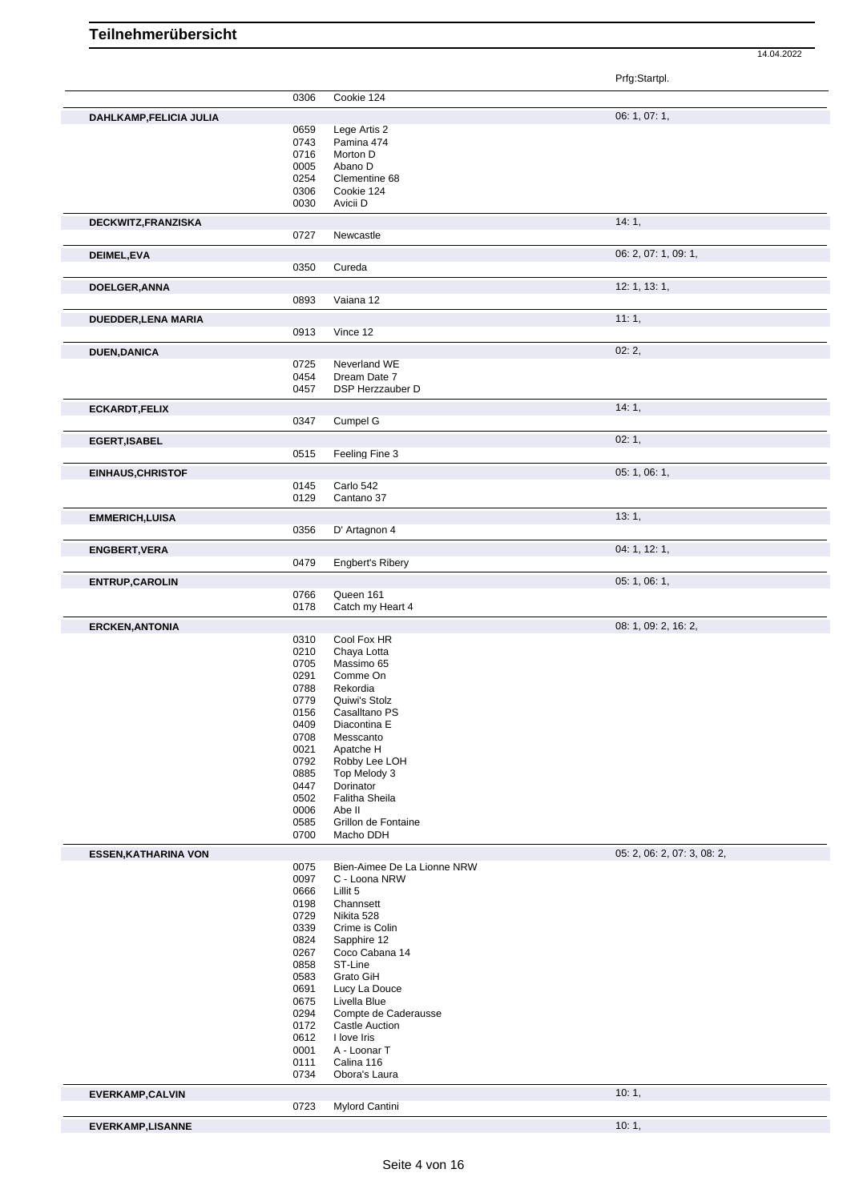|                            |              |                             | 14.04.2022                  |
|----------------------------|--------------|-----------------------------|-----------------------------|
|                            |              |                             |                             |
|                            |              |                             | Prfg:Startpl.               |
|                            | 0306         | Cookie 124                  |                             |
| DAHLKAMP,FELICIA JULIA     |              |                             | 06: 1, 07: 1,               |
|                            | 0659         | Lege Artis 2                |                             |
|                            | 0743         | Pamina 474                  |                             |
|                            | 0716         | Morton D                    |                             |
|                            | 0005<br>0254 | Abano D<br>Clementine 68    |                             |
|                            | 0306         | Cookie 124                  |                             |
|                            | 0030         | Avicii D                    |                             |
|                            |              |                             |                             |
| DECKWITZ, FRANZISKA        |              |                             | 14:1,                       |
|                            | 0727         | Newcastle                   |                             |
| DEIMEL, EVA                |              |                             | 06: 2, 07: 1, 09: 1,        |
|                            | 0350         | Cureda                      |                             |
| DOELGER, ANNA              |              |                             | 12: 1, 13: 1,               |
|                            | 0893         | Vaiana 12                   |                             |
|                            |              |                             |                             |
| DUEDDER,LENA MARIA         |              |                             | 11:1,                       |
|                            | 0913         | Vince 12                    |                             |
| <b>DUEN, DANICA</b>        |              |                             | 02:2,                       |
|                            | 0725         | Neverland WE                |                             |
|                            | 0454         | Dream Date 7                |                             |
|                            | 0457         | DSP Herzzauber D            |                             |
| <b>ECKARDT,FELIX</b>       |              |                             | 14:1,                       |
|                            | 0347         | Cumpel G                    |                             |
|                            |              |                             | 02:1,                       |
| <b>EGERT,ISABEL</b>        | 0515         | Feeling Fine 3              |                             |
|                            |              |                             |                             |
| <b>EINHAUS, CHRISTOF</b>   |              |                             | 05: 1, 06: 1,               |
|                            | 0145         | Carlo 542                   |                             |
|                            | 0129         | Cantano 37                  |                             |
| <b>EMMERICH,LUISA</b>      |              |                             | 13:1,                       |
|                            | 0356         | D' Artagnon 4               |                             |
| <b>ENGBERT, VERA</b>       |              |                             | 04: 1, 12: 1,               |
|                            | 0479         | <b>Engbert's Ribery</b>     |                             |
|                            |              |                             |                             |
| <b>ENTRUP, CAROLIN</b>     |              |                             | 05: 1, 06: 1,               |
|                            | 0766         | Queen 161                   |                             |
|                            | 0178         | Catch my Heart 4            |                             |
| <b>ERCKEN, ANTONIA</b>     |              |                             | 08: 1, 09: 2, 16: 2,        |
|                            | 0310         | Cool Fox HR                 |                             |
|                            | 0210         | Chaya Lotta                 |                             |
|                            | 0705<br>0291 | Massimo 65<br>Comme On      |                             |
|                            | 0788         | Rekordia                    |                             |
|                            | 0779         | Quiwi's Stolz               |                             |
|                            | 0156         | Casalltano PS               |                             |
|                            | 0409         | Diacontina E                |                             |
|                            | 0708         | Messcanto                   |                             |
|                            | 0021         | Apatche H                   |                             |
|                            | 0792         | Robby Lee LOH               |                             |
|                            | 0885<br>0447 | Top Melody 3<br>Dorinator   |                             |
|                            | 0502         | Falitha Sheila              |                             |
|                            | 0006         | Abe II                      |                             |
|                            | 0585         | Grillon de Fontaine         |                             |
|                            | 0700         | Macho DDH                   |                             |
| <b>ESSEN,KATHARINA VON</b> |              |                             | 05: 2, 06: 2, 07: 3, 08: 2, |
|                            | 0075         | Bien-Aimee De La Lionne NRW |                             |
|                            | 0097         | C - Loona NRW               |                             |
|                            | 0666         | Lillit 5                    |                             |
|                            | 0198         | Channsett                   |                             |
|                            | 0729         | Nikita 528                  |                             |
|                            | 0339         | Crime is Colin              |                             |
|                            | 0824         | Sapphire 12                 |                             |
|                            | 0267<br>0858 | Coco Cabana 14<br>ST-Line   |                             |
|                            | 0583         | Grato GiH                   |                             |
|                            | 0691         | Lucy La Douce               |                             |
|                            | 0675         | Livella Blue                |                             |
|                            | 0294         | Compte de Caderausse        |                             |
|                            | 0172         | Castle Auction              |                             |
|                            | 0612         | I love Iris                 |                             |
|                            | 0001         | A - Loonar T                |                             |
|                            | 0111         | Calina 116                  |                             |
|                            | 0734         | Obora's Laura               |                             |
| <b>EVERKAMP,CALVIN</b>     |              |                             | 10:1,                       |
|                            | 0723         | Mylord Cantini              |                             |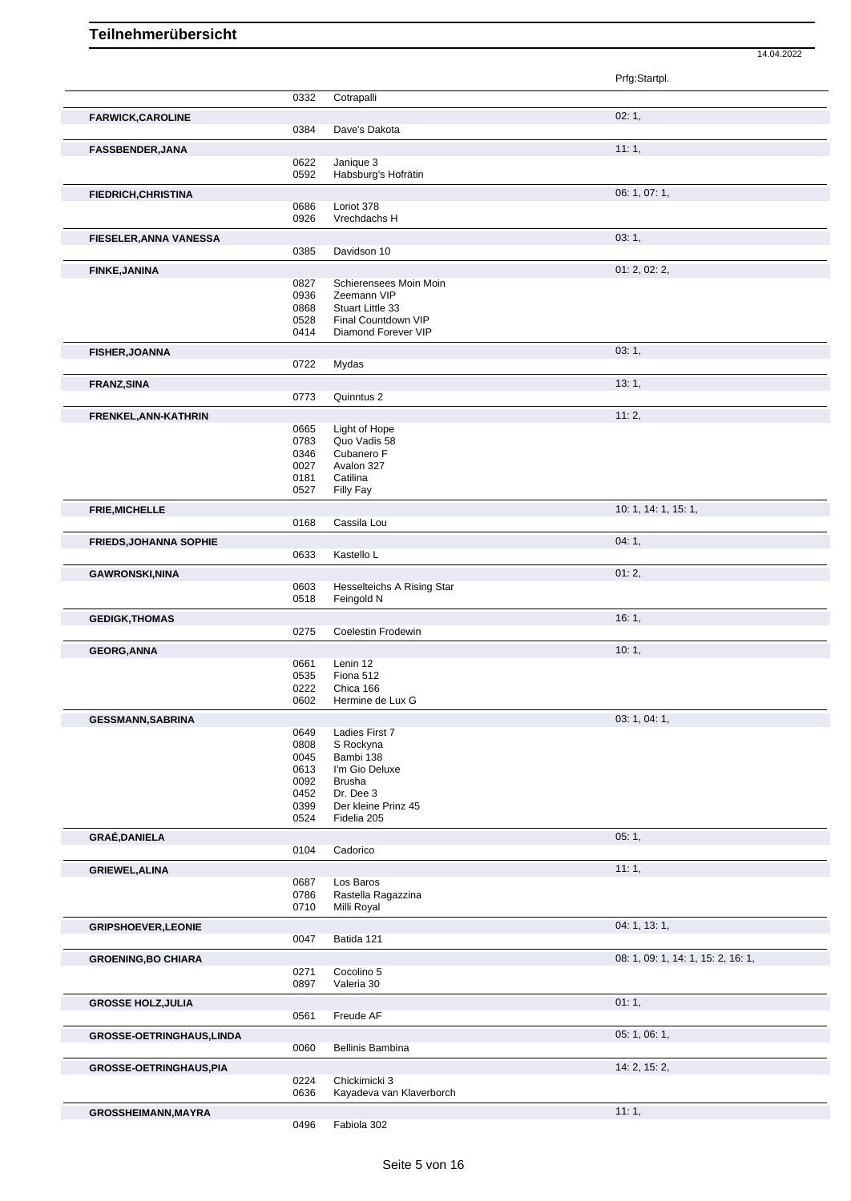|                                |              |                                          | Prfg:Startpl.                      |
|--------------------------------|--------------|------------------------------------------|------------------------------------|
|                                | 0332         | Cotrapalli                               |                                    |
|                                |              |                                          |                                    |
| <b>FARWICK, CAROLINE</b>       | 0384         | Dave's Dakota                            | 02:1,                              |
|                                |              |                                          |                                    |
| <b>FASSBENDER, JANA</b>        | 0622         | Janique 3                                | 11:1,                              |
|                                | 0592         | Habsburg's Hofrätin                      |                                    |
| <b>FIEDRICH, CHRISTINA</b>     |              |                                          | 06: 1, 07: 1,                      |
|                                | 0686         | Loriot 378                               |                                    |
|                                | 0926         | Vrechdachs H                             |                                    |
| <b>FIESELER, ANNA VANESSA</b>  |              |                                          | 03:1,                              |
|                                | 0385         | Davidson 10                              |                                    |
| <b>FINKE, JANINA</b>           |              |                                          | 01: 2, 02: 2,                      |
|                                | 0827         | Schierensees Moin Moin                   |                                    |
|                                | 0936<br>0868 | Zeemann VIP<br>Stuart Little 33          |                                    |
|                                | 0528         | Final Countdown VIP                      |                                    |
|                                | 0414         | Diamond Forever VIP                      |                                    |
| <b>FISHER, JOANNA</b>          |              |                                          | 03:1,                              |
|                                | 0722         | Mydas                                    |                                    |
| <b>FRANZ, SINA</b>             |              |                                          | 13:1,                              |
|                                | 0773         | Quinntus 2                               |                                    |
| FRENKEL, ANN-KATHRIN           |              |                                          | 11:2,                              |
|                                | 0665         | Light of Hope                            |                                    |
|                                | 0783<br>0346 | Quo Vadis 58<br>Cubanero F               |                                    |
|                                | 0027         | Avalon 327                               |                                    |
|                                | 0181         | Catilina                                 |                                    |
|                                | 0527         | Filly Fay                                |                                    |
| <b>FRIE, MICHELLE</b>          |              |                                          | 10: 1, 14: 1, 15: 1,               |
|                                | 0168         | Cassila Lou                              |                                    |
| <b>FRIEDS, JOHANNA SOPHIE</b>  |              |                                          | 04:1,                              |
|                                | 0633         | Kastello L                               |                                    |
| <b>GAWRONSKI, NINA</b>         |              |                                          | 01:2,                              |
|                                | 0603<br>0518 | Hesselteichs A Rising Star<br>Feingold N |                                    |
|                                |              |                                          | 16:1,                              |
| <b>GEDIGK, THOMAS</b>          | 0275         | Coelestin Frodewin                       |                                    |
| <b>GEORG, ANNA</b>             |              |                                          | 10:1,                              |
|                                | 0661         | Lenin 12                                 |                                    |
|                                | 0535         | Fiona 512                                |                                    |
|                                | 0222<br>0602 | Chica 166                                |                                    |
|                                |              | Hermine de Lux G                         |                                    |
| <b>GESSMANN, SABRINA</b>       | 0649         | Ladies First 7                           | 03: 1, 04: 1,                      |
|                                | 0808         | S Rockyna                                |                                    |
|                                | 0045         | Bambi 138                                |                                    |
|                                | 0613         | I'm Gio Deluxe                           |                                    |
|                                | 0092<br>0452 | <b>Brusha</b><br>Dr. Dee 3               |                                    |
|                                | 0399         | Der kleine Prinz 45                      |                                    |
|                                | 0524         | Fidelia 205                              |                                    |
| <b>GRAÉ, DANIELA</b>           |              |                                          | 05:1,                              |
|                                | 0104         | Cadorico                                 |                                    |
| <b>GRIEWEL, ALINA</b>          |              |                                          | 11:1,                              |
|                                | 0687<br>0786 | Los Baros<br>Rastella Ragazzina          |                                    |
|                                | 0710         | Milli Royal                              |                                    |
| <b>GRIPSHOEVER, LEONIE</b>     |              |                                          | 04: 1, 13: 1,                      |
|                                | 0047         | Batida 121                               |                                    |
| <b>GROENING, BO CHIARA</b>     |              |                                          | 08: 1, 09: 1, 14: 1, 15: 2, 16: 1, |
|                                | 0271         | Cocolino 5                               |                                    |
|                                | 0897         | Valeria 30                               |                                    |
| <b>GROSSE HOLZ, JULIA</b>      |              |                                          | 01:1,                              |
|                                | 0561         | Freude AF                                |                                    |
| GROSSE-OETRINGHAUS, LINDA      |              |                                          | 05: 1, 06: 1,                      |
|                                | 0060         | Bellinis Bambina                         |                                    |
| <b>GROSSE-OETRINGHAUS, PIA</b> |              |                                          | 14: 2, 15: 2,                      |
|                                | 0224         | Chickimicki 3                            |                                    |
|                                | 0636         | Kayadeva van Klaverborch                 |                                    |
| GROSSHEIMANN, MAYRA            | 0496         | Fabiola 302                              | 11:1,                              |
|                                |              |                                          |                                    |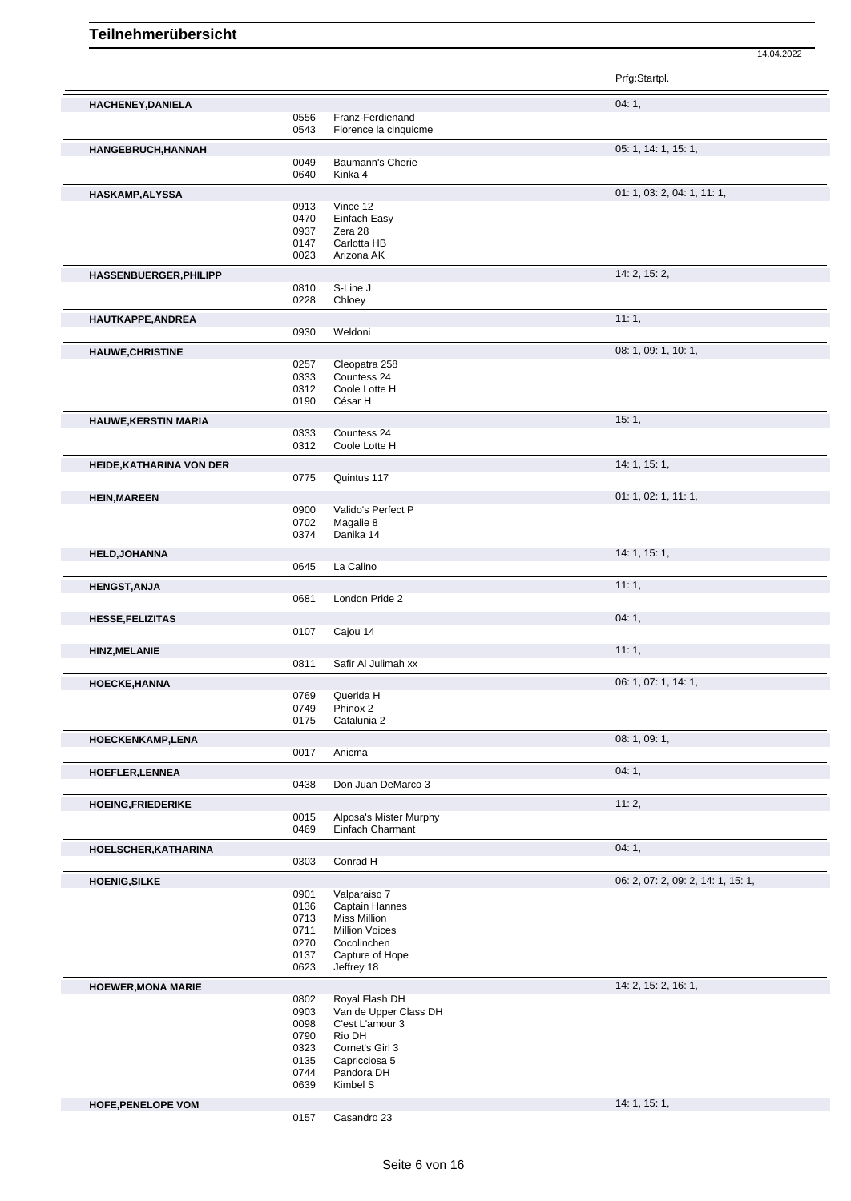Prfg:Startpl. **HACHENEY,DANIELA** 04: 1, 04: 1, 04: 1, 0556 Franz-Ferdienand 0556 Franz-Ferdienand<br>0543 Florence la cinquique Florence la cinquicme **HANGEBRUCH,HANNAH** 05: 1, 14: 1, 15: 1, 0049 Baumann's Cherie 0640 Kinka 4 **HASKAMP,ALYSSA** 01: 1, 03: 2, 04: 1, 11: 1, 0913 Vince 12 0470 Einfach Easy 0937 Zera 28 0147 Carlotta HB<br>0023 Arizona AK Arizona AK **HASSENBUERGER, PHILIPP** 0810 S-Line J<br>0810 S-Line J 0810 S-Line J<br>0228 Chloey Chloey **HAUTKAPPE,ANDREA** 11: 1, Weldoni **HAUWE, CHRISTINE** 08: 1, 10: 1, 10: 1, 10: 1, 10: 1, 09: 1, 10: 1, 09: 1, 10: 1, 09: 1, 10: 1, 09: 1, 10: 1, 0257 Cleopatra 258<br>0333 Countess 24 0333 Countess 24<br>0312 Coole Lotte H 0312 Coole Lotte H<br>0190 César H César H **HAUWE, KERSTIN MARIA** 15: 1, 2009 15: 1, 2009 15: 1, 2009 15: 1, 2009 15: 1, 2009 15: 1, 2009 15: 1, 2009 15: 1, 2009 15: 2009 15: 2009 15: 2009 15: 2009 15: 2009 15: 2009 15: 2009 15: 2009 15: 2009 15: 2009 15: 2009 15: 0333 Countess 24<br>0312 Coole Lotte F Coole Lotte H **HEIDE,KATHARINA VON DER 14: 1, 15: 1, 16: 1, 16: 1, 16: 1, 16: 1, 16: 1, 16: 1, 16: 1, 16: 1, 16: 1, 16: 1, 16: 1,** 0775 Quintus 117 **HEIN,MAREEN** 01: 1, 02: 1, 11: 1, 0900 Valido's Perfect P<br>0702 Magalie 8 0702 Magalie 8 Danika 14 **HELD,JOHANNA** 14: 1, 15: 1, 0645 La Calino **HENGST,ANJA** 11: 1, 0681 London Pride 2 **HESSE,FELIZITAS** 04: 1, 04: 1, 04: 1, 04: 1, 04: 1, 04: 1, 04: 1, 04: 1, 04: 1, 04: 1, 04: 1, 04: 1, 04: 1, 04: 1, 04: 1, 04: 1, 04: 1, 04: 1, 04: 1, 04: 1, 04: 1, 04: 1, 04: 1, 04: 1, 04: 1, 04: 1, 04: 1, 04: 1, 04: 1, 0 0107 Cajou 14 **HINZ,MELANIE** 11: 1, 0811 Safir Al Julimah xx **HOECKE,HANNA** 06: 1, 07: 1, 14: 1, 0769 Querida H<br>0749 Phinox 2 0749 Phinox 2<br>0175 Catalunia Catalunia 2 **HOECKENKAMP,LENA** 08: 1, 09: 1, 09: 1, 09: 1, 09: 1, 09: 1, 09: 1, 09: 1, 09: 1, 09: 1, 09: 1, 09: 1, 09: 1, 09: 1, 09: 1, 09: 1, 09: 1, 09: 1, 09: 1, 09: 1, 09: 1, 09: 1, 09: 1, 09: 1, 09: 1, 09: 1, 09: 1, 09: 1, 09: 1, Anicma **HOEFLER,LENNEA** 04: 1, Don Juan DeMarco 3 **HOEING,FRIEDERIKE** 11: 2,<br>
0015 Alposa's Mister Murphy 0015 Alposa's Mister Murphy<br>0469 Einfach Charmant Einfach Charmant **HOELSCHER, KATHARINA** 0303 Conrad H<br>0303 Conrad H Conrad H **HOENIG,SILKE** 06: 2, 07: 2, 09: 2, 14: 1, 15: 1, 0901 Valparaiso 7 0136 Captain Hannes<br>0713 Miss Million 0713 Miss Million<br>0711 Million Voice **Million Voices** 0270 Cocolinchen 0137 Capture of Hope 0623 Jeffrey 18 **HOEWER, MONA MARIE** 14: 2, 15: 2, 16: 1, 2, 15: 2, 16: 1, 2, 15: 2, 16: 1, 2, 15: 2, 16: 1, 2, 15: 2, 16: 1, 2, 15: 2, 16: 1, 2, 15: 2, 16: 1, 2, 15: 2, 16: 1, 2, 15: 2, 16: 1, 2, 15: 2, 16: 1, 2, 15: 2, 16: 1, 2, 15: 2, 0802 Royal Flash DH<br>0903 Van de Upper C 0903 Van de Upper Class DH<br>0098 C'est L'amour 3 C'est L'amour 3 0790 Rio DH<br>0323 Cornet's 0323 Cornet's Girl 3<br>0135 Capricciosa 5 0135 Capricciosa 5<br>0744 Pandora DH 0744 Pandora DH<br>0639 Kimbel S Kimbel S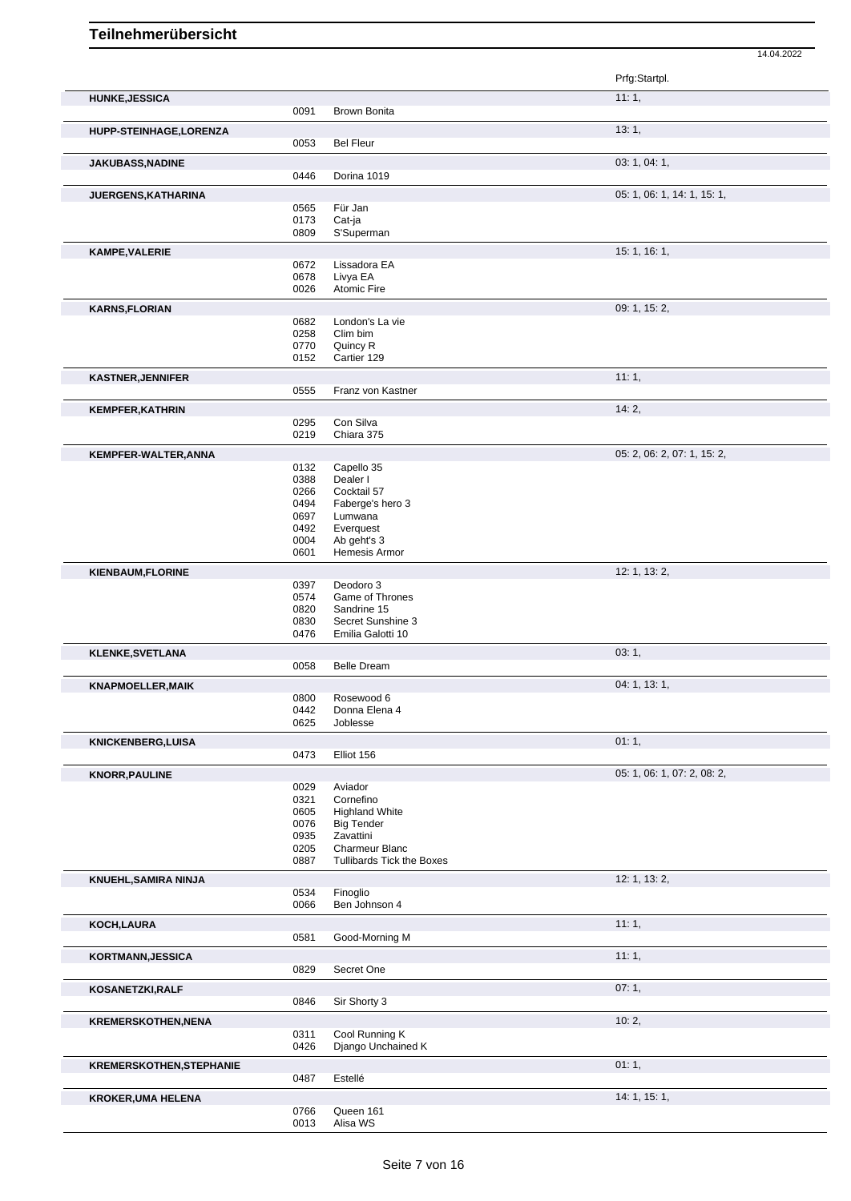|                                 |              |                                            | Prfg:Startpl.               |
|---------------------------------|--------------|--------------------------------------------|-----------------------------|
| <b>HUNKE, JESSICA</b>           |              |                                            | 11:1,                       |
|                                 | 0091         | <b>Brown Bonita</b>                        |                             |
| HUPP-STEINHAGE, LORENZA         | 0053         | <b>Bel Fleur</b>                           | 13:1,                       |
| JAKUBASS, NADINE                |              |                                            | 03: 1, 04: 1,               |
|                                 | 0446         | Dorina 1019                                |                             |
| JUERGENS, KATHARINA             | 0565         | Für Jan                                    | 05: 1, 06: 1, 14: 1, 15: 1, |
|                                 | 0173         | Cat-ja                                     |                             |
|                                 | 0809         | S'Superman                                 |                             |
| <b>KAMPE, VALERIE</b>           |              |                                            | 15: 1, 16: 1,               |
|                                 | 0672<br>0678 | Lissadora EA<br>Livya EA                   |                             |
|                                 | 0026         | Atomic Fire                                |                             |
| <b>KARNS, FLORIAN</b>           |              |                                            | 09: 1, 15: 2,               |
|                                 | 0682         | London's La vie                            |                             |
|                                 | 0258<br>0770 | Clim bim<br>Quincy R                       |                             |
|                                 | 0152         | Cartier 129                                |                             |
| <b>KASTNER, JENNIFER</b>        |              |                                            | 11:1,                       |
|                                 | 0555         | Franz von Kastner                          |                             |
| <b>KEMPFER, KATHRIN</b>         |              |                                            | 14:2,                       |
|                                 | 0295<br>0219 | Con Silva<br>Chiara 375                    |                             |
|                                 |              |                                            |                             |
| KEMPFER-WALTER, ANNA            | 0132         | Capello 35                                 | 05: 2, 06: 2, 07: 1, 15: 2, |
|                                 | 0388         | Dealer I                                   |                             |
|                                 | 0266         | Cocktail 57                                |                             |
|                                 | 0494<br>0697 | Faberge's hero 3<br>Lumwana                |                             |
|                                 | 0492         | Everquest                                  |                             |
|                                 | 0004         | Ab geht's 3                                |                             |
|                                 | 0601         | Hemesis Armor                              |                             |
| <b>KIENBAUM, FLORINE</b>        |              |                                            | 12: 1, 13: 2,               |
|                                 | 0397<br>0574 | Deodoro 3<br>Game of Thrones               |                             |
|                                 | 0820         | Sandrine 15                                |                             |
|                                 | 0830         | Secret Sunshine 3                          |                             |
|                                 | 0476         | Emilia Galotti 10                          |                             |
| <b>KLENKE, SVETLANA</b>         | 0058         | <b>Belle Dream</b>                         | 03:1,                       |
|                                 |              |                                            |                             |
| <b>KNAPMOELLER, MAIK</b>        | 0800         | Rosewood 6                                 | 04: 1, 13: 1,               |
|                                 | 0442         | Donna Elena 4                              |                             |
|                                 | 0625         | Joblesse                                   |                             |
| <b>KNICKENBERG,LUISA</b>        | 0473         | Elliot 156                                 | 01:1,                       |
|                                 |              |                                            | 05: 1, 06: 1, 07: 2, 08: 2, |
| <b>KNORR, PAULINE</b>           | 0029         | Aviador                                    |                             |
|                                 | 0321         | Cornefino                                  |                             |
|                                 | 0605<br>0076 | <b>Highland White</b><br><b>Big Tender</b> |                             |
|                                 | 0935         | Zavattini                                  |                             |
|                                 | 0205         | Charmeur Blanc                             |                             |
|                                 | 0887         | Tullibards Tick the Boxes                  |                             |
| KNUEHL, SAMIRA NINJA            |              |                                            | 12: 1, 13: 2,               |
|                                 | 0534<br>0066 | Finoglio<br>Ben Johnson 4                  |                             |
|                                 |              |                                            | 11:1,                       |
| KOCH, LAURA                     | 0581         | Good-Morning M                             |                             |
| KORTMANN, JESSICA               |              |                                            | 11:1,                       |
|                                 | 0829         | Secret One                                 |                             |
| KOSANETZKI, RALF                |              |                                            | 07:1,                       |
|                                 | 0846         | Sir Shorty 3                               |                             |
| <b>KREMERSKOTHEN, NENA</b>      |              |                                            | 10:2,                       |
|                                 | 0311         | Cool Running K                             |                             |
|                                 | 0426         | Django Unchained K                         |                             |
|                                 |              |                                            | 01:1,                       |
| <b>KREMERSKOTHEN, STEPHANIE</b> |              |                                            |                             |
|                                 | 0487         | Estellé                                    |                             |
| <b>KROKER, UMA HELENA</b>       | 0766         | Queen 161                                  | 14: 1, 15: 1,               |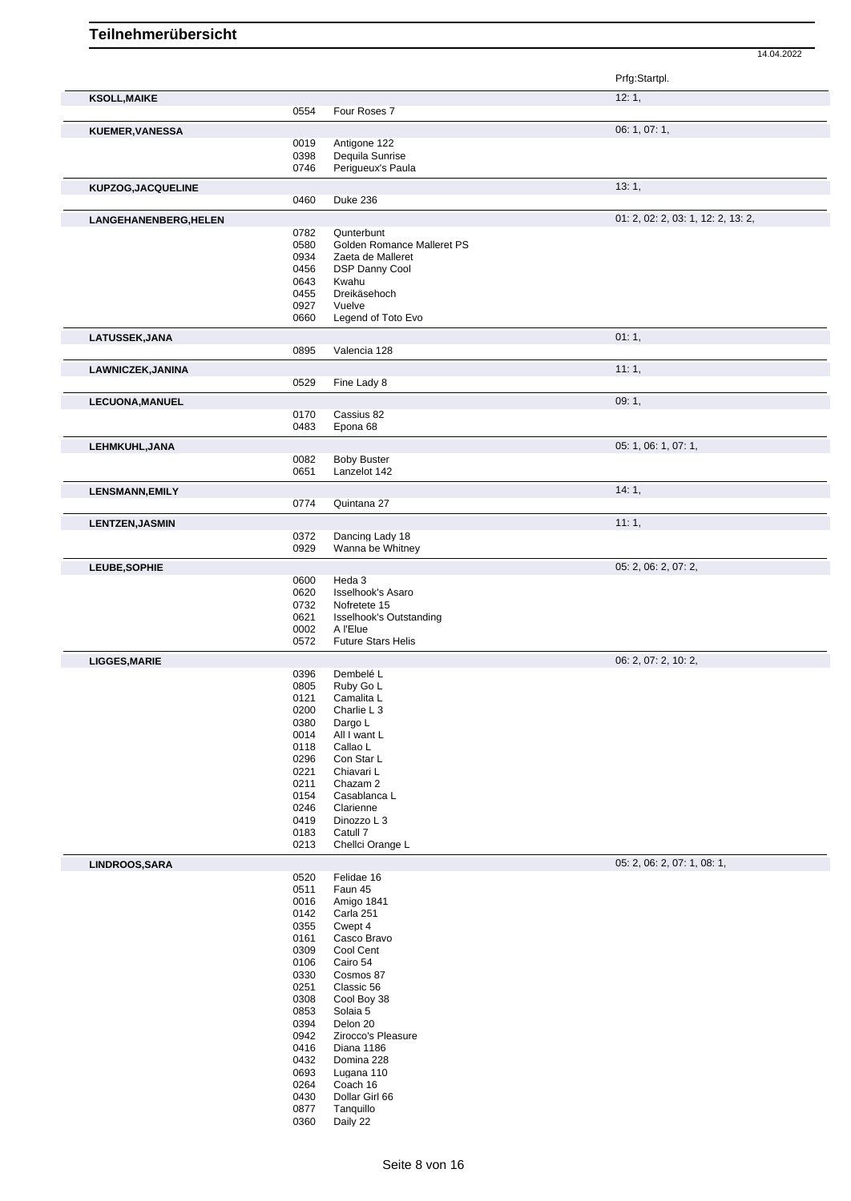|                        |              |                                            | Prfg:Startpl.                      |
|------------------------|--------------|--------------------------------------------|------------------------------------|
| <b>KSOLL, MAIKE</b>    |              |                                            | 12:1,                              |
|                        | 0554         | Four Roses 7                               |                                    |
| <b>KUEMER, VANESSA</b> |              |                                            | 06: 1, 07: 1,                      |
|                        | 0019<br>0398 | Antigone 122<br>Dequila Sunrise            |                                    |
|                        | 0746         | Perigueux's Paula                          |                                    |
| KUPZOG, JACQUELINE     |              |                                            | 13:1,                              |
|                        | 0460         | <b>Duke 236</b>                            |                                    |
| LANGEHANENBERG, HELEN  |              |                                            | 01: 2, 02: 2, 03: 1, 12: 2, 13: 2, |
|                        | 0782<br>0580 | Qunterbunt<br>Golden Romance Malleret PS   |                                    |
|                        | 0934         | Zaeta de Malleret                          |                                    |
|                        | 0456         | DSP Danny Cool                             |                                    |
|                        | 0643<br>0455 | Kwahu<br>Dreikäsehoch                      |                                    |
|                        | 0927         | Vuelve                                     |                                    |
|                        | 0660         | Legend of Toto Evo                         |                                    |
| LATUSSEK, JANA         |              |                                            | 01:1,                              |
|                        | 0895         | Valencia 128                               |                                    |
| LAWNICZEK, JANINA      |              |                                            | 11:1,                              |
|                        | 0529         | Fine Lady 8                                |                                    |
| <b>LECUONA, MANUEL</b> |              |                                            | 09:1,                              |
|                        | 0170<br>0483 | Cassius 82<br>Epona 68                     |                                    |
|                        |              |                                            | 05: 1, 06: 1, 07: 1,               |
| LEHMKUHL, JANA         | 0082         | <b>Boby Buster</b>                         |                                    |
|                        | 0651         | Lanzelot 142                               |                                    |
| <b>LENSMANN, EMILY</b> |              |                                            | 14:1,                              |
|                        | 0774         | Quintana 27                                |                                    |
| <b>LENTZEN, JASMIN</b> |              |                                            | 11:1,                              |
|                        | 0372         | Dancing Lady 18                            |                                    |
|                        | 0929         | Wanna be Whitney                           |                                    |
| LEUBE, SOPHIE          | 0600         | Heda 3                                     | 05: 2, 06: 2, 07: 2,               |
|                        | 0620         | <b>Isselhook's Asaro</b>                   |                                    |
|                        | 0732         | Nofretete 15                               |                                    |
|                        | 0621<br>0002 | <b>Isselhook's Outstanding</b><br>A l'Elue |                                    |
|                        | 0572         | <b>Future Stars Helis</b>                  |                                    |
| <b>LIGGES, MARIE</b>   |              |                                            | 06: 2, 07: 2, 10: 2,               |
|                        | 0396         | Dembelé L                                  |                                    |
|                        | 0805<br>0121 | Ruby Go L<br>Camalita L                    |                                    |
|                        | 0200         | Charlie L 3                                |                                    |
|                        | 0380         | Dargo L                                    |                                    |
|                        | 0014<br>0118 | All I want L<br>Callao L                   |                                    |
|                        | 0296         | Con Star L                                 |                                    |
|                        | 0221         | Chiavari L                                 |                                    |
|                        | 0211<br>0154 | Chazam 2<br>Casablanca L                   |                                    |
|                        | 0246         | Clarienne                                  |                                    |
|                        | 0419         | Dinozzo L 3                                |                                    |
|                        | 0183<br>0213 | Catull 7<br>Chellci Orange L               |                                    |
| LINDROOS, SARA         |              |                                            | 05: 2, 06: 2, 07: 1, 08: 1,        |
|                        | 0520         | Felidae 16                                 |                                    |
|                        | 0511         | Faun 45                                    |                                    |
|                        | 0016<br>0142 | Amigo 1841<br>Carla 251                    |                                    |
|                        | 0355         | Cwept 4                                    |                                    |
|                        | 0161         | Casco Bravo                                |                                    |
|                        | 0309<br>0106 | Cool Cent<br>Cairo 54                      |                                    |
|                        | 0330         | Cosmos 87                                  |                                    |
|                        | 0251         | Classic 56                                 |                                    |
|                        | 0308<br>0853 | Cool Boy 38<br>Solaia 5                    |                                    |
|                        | 0394         | Delon 20                                   |                                    |
|                        | 0942         | Zirocco's Pleasure                         |                                    |
|                        | 0416<br>0432 | Diana 1186<br>Domina 228                   |                                    |
|                        | 0693         | Lugana 110                                 |                                    |
|                        | 0264         | Coach 16                                   |                                    |
|                        | 0430<br>0877 | Dollar Girl 66<br>Tanquillo                |                                    |
|                        | 0360         | Daily 22                                   |                                    |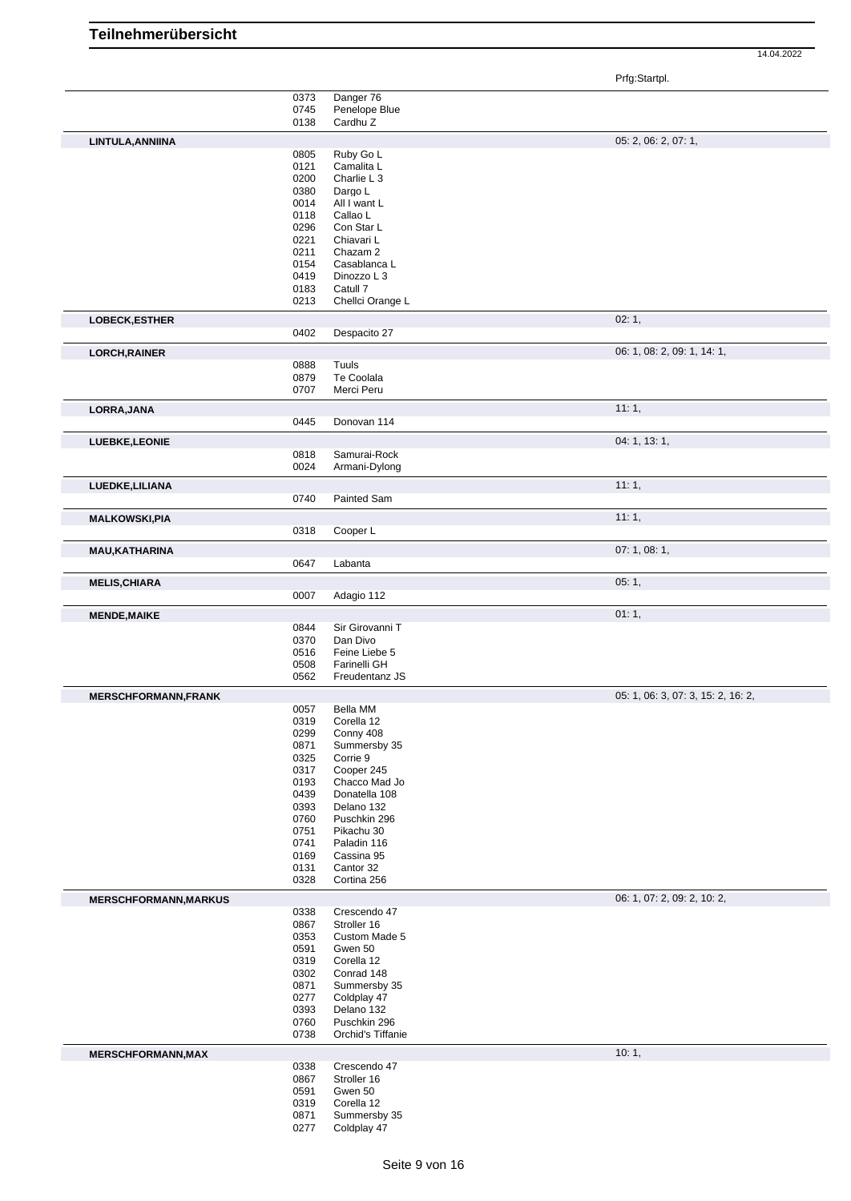Prfg:Startpl.

|                              | 0373 | Danger 76         |                                    |
|------------------------------|------|-------------------|------------------------------------|
|                              | 0745 | Penelope Blue     |                                    |
|                              | 0138 | Cardhu Z          |                                    |
|                              |      |                   |                                    |
| LINTULA, ANNIINA             |      |                   | 05: 2, 06: 2, 07: 1,               |
|                              | 0805 | Ruby Go L         |                                    |
|                              | 0121 | Camalita L        |                                    |
|                              | 0200 | Charlie L 3       |                                    |
|                              |      |                   |                                    |
|                              | 0380 | Dargo L           |                                    |
|                              | 0014 | All I want L      |                                    |
|                              | 0118 | Callao L          |                                    |
|                              | 0296 | Con Star L        |                                    |
|                              | 0221 | Chiavari L        |                                    |
|                              |      |                   |                                    |
|                              | 0211 | Chazam 2          |                                    |
|                              | 0154 | Casablanca L      |                                    |
|                              | 0419 | Dinozzo L 3       |                                    |
|                              | 0183 | Catull 7          |                                    |
|                              | 0213 | Chellci Orange L  |                                    |
|                              |      |                   |                                    |
| <b>LOBECK, ESTHER</b>        |      |                   | 02:1,                              |
|                              | 0402 | Despacito 27      |                                    |
|                              |      |                   |                                    |
| <b>LORCH, RAINER</b>         |      |                   | 06: 1, 08: 2, 09: 1, 14: 1,        |
|                              | 0888 | Tuuls             |                                    |
|                              | 0879 | Te Coolala        |                                    |
|                              | 0707 | Merci Peru        |                                    |
|                              |      |                   |                                    |
| LORRA, JANA                  |      |                   | 11:1,                              |
|                              |      |                   |                                    |
|                              | 0445 | Donovan 114       |                                    |
| LUEBKE, LEONIE               |      |                   | 04: 1, 13: 1,                      |
|                              |      |                   |                                    |
|                              | 0818 | Samurai-Rock      |                                    |
|                              | 0024 | Armani-Dylong     |                                    |
|                              |      |                   |                                    |
| LUEDKE, LILIANA              |      |                   | 11:1,                              |
|                              | 0740 | Painted Sam       |                                    |
|                              |      |                   |                                    |
| <b>MALKOWSKI, PIA</b>        |      |                   | 11:1,                              |
|                              | 0318 | Cooper L          |                                    |
|                              |      |                   |                                    |
| <b>MAU, KATHARINA</b>        |      |                   | 07: 1, 08: 1,                      |
|                              | 0647 | Labanta           |                                    |
|                              |      |                   |                                    |
| <b>MELIS, CHIARA</b>         |      |                   | 05:1,                              |
|                              | 0007 | Adagio 112        |                                    |
|                              |      |                   |                                    |
| <b>MENDE, MAIKE</b>          |      |                   | 01:1,                              |
|                              |      |                   |                                    |
|                              | 0844 | Sir Girovanni T   |                                    |
|                              | 0370 | Dan Divo          |                                    |
|                              |      |                   |                                    |
|                              | 0516 | Feine Liebe 5     |                                    |
|                              | 0508 | Farinelli GH      |                                    |
|                              | 0562 | Freudentanz JS    |                                    |
|                              |      |                   |                                    |
| <b>MERSCHFORMANN, FRANK</b>  |      |                   | 05: 1, 06: 3, 07: 3, 15: 2, 16: 2, |
|                              | 0057 | Bella MM          |                                    |
|                              | 0319 | Corella 12        |                                    |
|                              | 0299 | Conny 408         |                                    |
|                              | 0871 | Summersby 35      |                                    |
|                              | 0325 | Corrie 9          |                                    |
|                              |      |                   |                                    |
|                              | 0317 | Cooper 245        |                                    |
|                              | 0193 | Chacco Mad Jo     |                                    |
|                              | 0439 | Donatella 108     |                                    |
|                              | 0393 | Delano 132        |                                    |
|                              | 0760 | Puschkin 296      |                                    |
|                              | 0751 | Pikachu 30        |                                    |
|                              |      |                   |                                    |
|                              | 0741 | Paladin 116       |                                    |
|                              | 0169 | Cassina 95        |                                    |
|                              | 0131 | Cantor 32         |                                    |
|                              | 0328 | Cortina 256       |                                    |
|                              |      |                   |                                    |
| <b>MERSCHFORMANN, MARKUS</b> |      |                   | 06: 1, 07: 2, 09: 2, 10: 2,        |
|                              | 0338 | Crescendo 47      |                                    |
|                              | 0867 | Stroller 16       |                                    |
|                              | 0353 | Custom Made 5     |                                    |
|                              |      |                   |                                    |
|                              | 0591 | Gwen 50           |                                    |
|                              | 0319 | Corella 12        |                                    |
|                              | 0302 | Conrad 148        |                                    |
|                              | 0871 | Summersby 35      |                                    |
|                              | 0277 | Coldplay 47       |                                    |
|                              |      |                   |                                    |
|                              | 0393 | Delano 132        |                                    |
|                              | 0760 | Puschkin 296      |                                    |
|                              | 0738 | Orchid's Tiffanie |                                    |
|                              |      |                   |                                    |
| <b>MERSCHFORMANN, MAX</b>    |      |                   | 10:1,                              |
|                              | 0338 | Crescendo 47      |                                    |
|                              | 0867 | Stroller 16       |                                    |
|                              | 0591 | Gwen 50           |                                    |
|                              | 0319 | Corella 12        |                                    |
|                              |      |                   |                                    |
|                              | 0871 | Summersby 35      |                                    |
|                              | 0277 | Coldplay 47       |                                    |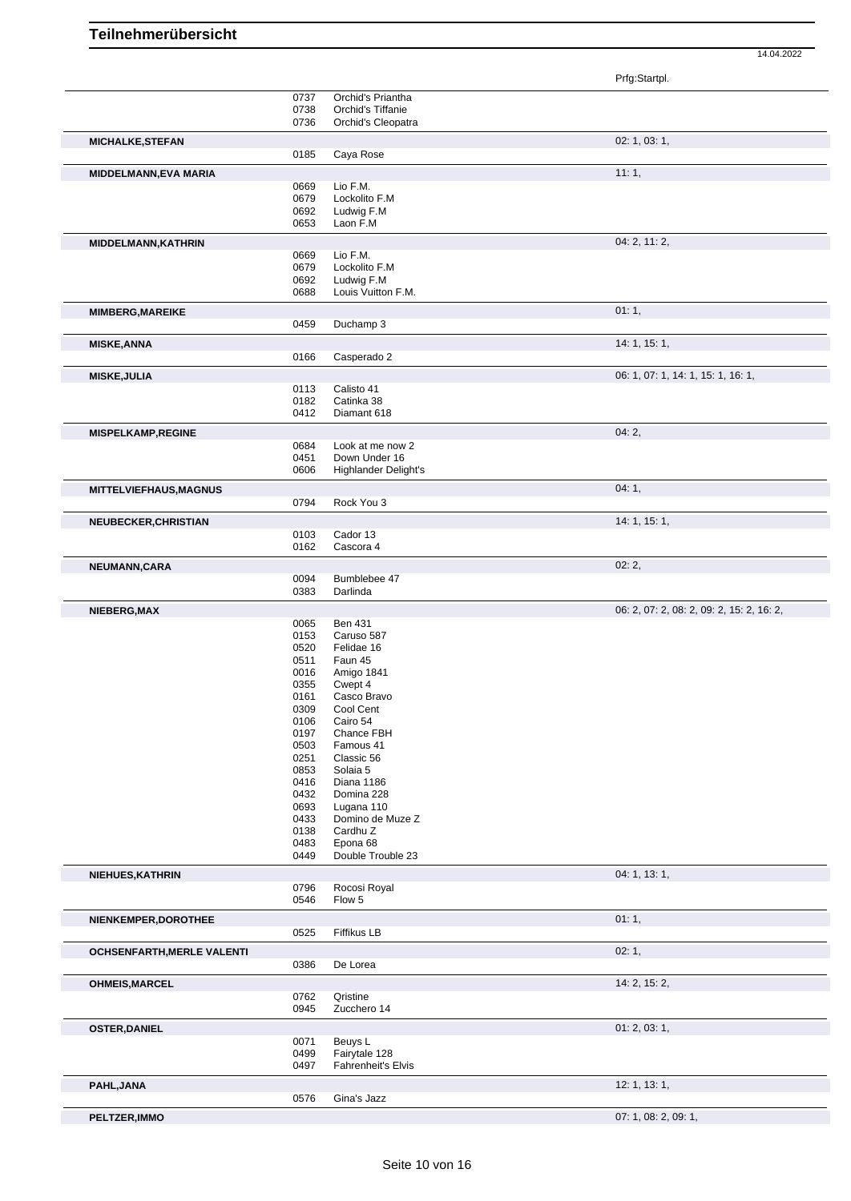|                                                                                                                                |              |                              | Prfg:Startpl.                             |
|--------------------------------------------------------------------------------------------------------------------------------|--------------|------------------------------|-------------------------------------------|
|                                                                                                                                | 0737         | Orchid's Priantha            |                                           |
|                                                                                                                                | 0738         | Orchid's Tiffanie            |                                           |
|                                                                                                                                | 0736         | Orchid's Cleopatra           |                                           |
| <b>MICHALKE, STEFAN</b>                                                                                                        |              |                              | 02: 1, 03: 1,                             |
|                                                                                                                                | 0185         | Caya Rose                    |                                           |
| MIDDELMANN, EVA MARIA                                                                                                          |              |                              | 11:1,                                     |
|                                                                                                                                | 0669         | Lio F.M.                     |                                           |
|                                                                                                                                | 0679         | Lockolito F.M                |                                           |
|                                                                                                                                | 0692         | Ludwig F.M                   |                                           |
|                                                                                                                                | 0653         | Laon F.M                     |                                           |
| MIDDELMANN, KATHRIN                                                                                                            |              |                              | 04: 2, 11: 2,                             |
|                                                                                                                                | 0669         | Lio F.M.                     |                                           |
|                                                                                                                                | 0679         | Lockolito F.M                |                                           |
|                                                                                                                                | 0692         | Ludwig F.M                   |                                           |
|                                                                                                                                | 0688         | Louis Vuitton F.M.           |                                           |
| <b>MIMBERG, MAREIKE</b>                                                                                                        |              |                              | 01:1,                                     |
|                                                                                                                                | 0459         | Duchamp 3                    |                                           |
|                                                                                                                                |              |                              | 14: 1, 15: 1,                             |
| <b>MISKE, ANNA</b>                                                                                                             | 0166         | Casperado 2                  |                                           |
|                                                                                                                                |              |                              |                                           |
| <b>MISKE, JULIA</b>                                                                                                            |              |                              | 06: 1, 07: 1, 14: 1, 15: 1, 16: 1,        |
|                                                                                                                                | 0113         | Calisto 41                   |                                           |
|                                                                                                                                | 0182<br>0412 | Catinka 38<br>Diamant 618    |                                           |
|                                                                                                                                |              |                              |                                           |
| <b>MISPELKAMP, REGINE</b>                                                                                                      |              |                              | 04:2,                                     |
|                                                                                                                                | 0684         | Look at me now 2             |                                           |
|                                                                                                                                | 0451         | Down Under 16                |                                           |
|                                                                                                                                | 0606         | <b>Highlander Delight's</b>  |                                           |
| <b>MITTELVIEFHAUS, MAGNUS</b>                                                                                                  |              |                              | 04:1,                                     |
|                                                                                                                                | 0794         | Rock You 3                   |                                           |
| NEUBECKER, CHRISTIAN                                                                                                           |              |                              | 14: 1, 15: 1,                             |
|                                                                                                                                | 0103         | Cador 13                     |                                           |
|                                                                                                                                | 0162         | Cascora 4                    |                                           |
|                                                                                                                                |              |                              | 02:2,                                     |
| NEUMANN, CARA                                                                                                                  | 0094         | Bumblebee 47                 |                                           |
|                                                                                                                                | 0383         | Darlinda                     |                                           |
|                                                                                                                                |              |                              |                                           |
| NIEBERG, MAX                                                                                                                   |              |                              | 06: 2, 07: 2, 08: 2, 09: 2, 15: 2, 16: 2, |
|                                                                                                                                | 0065<br>0153 | <b>Ben 431</b><br>Caruso 587 |                                           |
|                                                                                                                                | 0520         | Felidae 16                   |                                           |
|                                                                                                                                | 0511         | Faun 45                      |                                           |
|                                                                                                                                | 0016         | Amigo 1841                   |                                           |
|                                                                                                                                | 0355         | Cwept 4                      |                                           |
|                                                                                                                                | 0161         | Casco Bravo                  |                                           |
|                                                                                                                                | 0309         | Cool Cent                    |                                           |
|                                                                                                                                |              | Cairo 54<br>Chance FBH       |                                           |
|                                                                                                                                | 0106         |                              |                                           |
|                                                                                                                                | 0197         |                              |                                           |
|                                                                                                                                | 0503         | Famous 41                    |                                           |
|                                                                                                                                | 0251<br>0853 | Classic 56<br>Solaia 5       |                                           |
|                                                                                                                                | 0416         | Diana 1186                   |                                           |
|                                                                                                                                | 0432         | Domina 228                   |                                           |
|                                                                                                                                | 0693         | Lugana 110                   |                                           |
|                                                                                                                                | 0433         | Domino de Muze Z             |                                           |
|                                                                                                                                | 0138         | Cardhu Z                     |                                           |
|                                                                                                                                | 0483         | Epona 68                     |                                           |
|                                                                                                                                | 0449         | Double Trouble 23            |                                           |
|                                                                                                                                |              |                              | 04: 1, 13: 1,                             |
|                                                                                                                                | 0796         | Rocosi Royal                 |                                           |
|                                                                                                                                | 0546         | Flow 5                       |                                           |
|                                                                                                                                |              |                              | 01:1,                                     |
|                                                                                                                                | 0525         | Fiffikus LB                  |                                           |
|                                                                                                                                |              |                              | 02:1,                                     |
|                                                                                                                                | 0386         | De Lorea                     |                                           |
|                                                                                                                                |              |                              |                                           |
|                                                                                                                                |              |                              | 14: 2, 15: 2,                             |
|                                                                                                                                | 0762         | Qristine                     |                                           |
|                                                                                                                                | 0945         | Zucchero 14                  |                                           |
|                                                                                                                                |              |                              | 01: 2, 03: 1,                             |
|                                                                                                                                | 0071         | Beuys L                      |                                           |
|                                                                                                                                | 0499         | Fairytale 128                |                                           |
| NIEHUES, KATHRIN<br>NIENKEMPER, DOROTHEE<br><b>OCHSENFARTH, MERLE VALENTI</b><br><b>OHMEIS, MARCEL</b><br><b>OSTER, DANIEL</b> | 0497         | Fahrenheit's Elvis           |                                           |
| PAHL, JANA                                                                                                                     |              |                              | 12: 1, 13: 1,                             |
|                                                                                                                                | 0576         | Gina's Jazz                  |                                           |
| PELTZER, IMMO                                                                                                                  |              |                              | 07: 1, 08: 2, 09: 1,                      |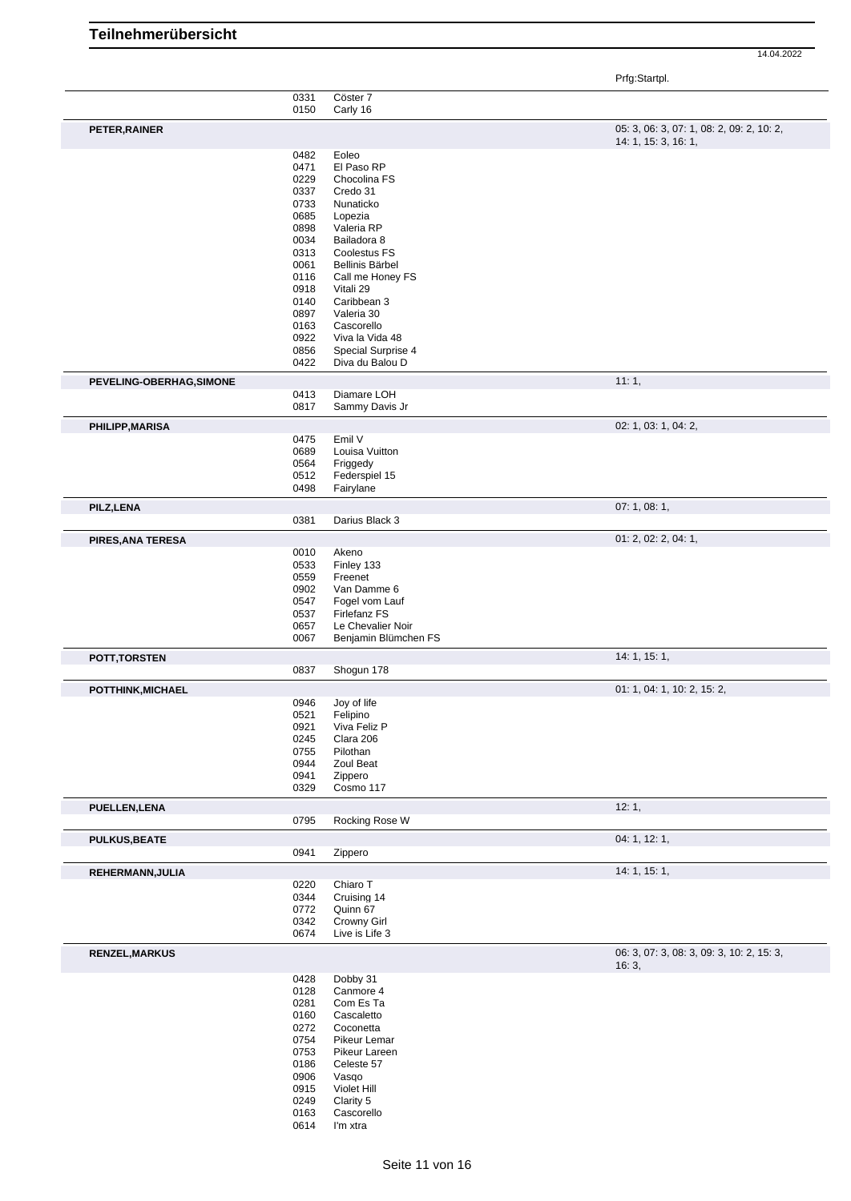14.04.2022

Prfg:Startpl.

|                          |              |                           | $\ldots$ g $\ldots$ $\ldots$                       |
|--------------------------|--------------|---------------------------|----------------------------------------------------|
|                          | 0331<br>0150 | Cöster 7<br>Carly 16      |                                                    |
| PETER, RAINER            |              |                           | 05: 3, 06: 3, 07: 1, 08: 2, 09: 2, 10: 2,          |
|                          |              |                           | 14: 1, 15: 3, 16: 1,                               |
|                          | 0482         | Eoleo                     |                                                    |
|                          | 0471         | El Paso RP                |                                                    |
|                          | 0229         | Chocolina FS              |                                                    |
|                          | 0337         | Credo 31                  |                                                    |
|                          | 0733         | Nunaticko                 |                                                    |
|                          | 0685         | Lopezia                   |                                                    |
|                          | 0898<br>0034 | Valeria RP<br>Bailadora 8 |                                                    |
|                          | 0313         | Coolestus FS              |                                                    |
|                          | 0061         | Bellinis Bärbel           |                                                    |
|                          | 0116         | Call me Honey FS          |                                                    |
|                          | 0918         | Vitali 29                 |                                                    |
|                          | 0140         | Caribbean 3               |                                                    |
|                          | 0897         | Valeria 30                |                                                    |
|                          | 0163         | Cascorello                |                                                    |
|                          | 0922         | Viva la Vida 48           |                                                    |
|                          | 0856         | Special Surprise 4        |                                                    |
|                          | 0422         | Diva du Balou D           |                                                    |
| PEVELING-OBERHAG, SIMONE |              |                           | 11:1,                                              |
|                          | 0413         | Diamare LOH               |                                                    |
|                          | 0817         | Sammy Davis Jr            |                                                    |
| PHILIPP, MARISA          |              |                           | 02: 1, 03: 1, 04: 2,                               |
|                          | 0475         | Emil V                    |                                                    |
|                          | 0689         | Louisa Vuitton            |                                                    |
|                          | 0564         | Friggedy                  |                                                    |
|                          | 0512         | Federspiel 15             |                                                    |
|                          | 0498         | Fairylane                 |                                                    |
| PILZ, LENA               |              |                           | 07: 1, 08: 1,                                      |
|                          | 0381         | Darius Black 3            |                                                    |
| PIRES, ANA TERESA        |              |                           | 01: 2, 02: 2, 04: 1,                               |
|                          | 0010         | Akeno                     |                                                    |
|                          | 0533         | Finley 133                |                                                    |
|                          | 0559         | Freenet                   |                                                    |
|                          | 0902         | Van Damme 6               |                                                    |
|                          | 0547         | Fogel vom Lauf            |                                                    |
|                          | 0537         | Firlefanz FS              |                                                    |
|                          | 0657         | Le Chevalier Noir         |                                                    |
|                          | 0067         | Benjamin Blümchen FS      |                                                    |
| POTT, TORSTEN            |              |                           | 14: 1, 15: 1,                                      |
|                          | 0837         | Shogun 178                |                                                    |
| POTTHINK, MICHAEL        |              |                           | 01: 1, 04: 1, 10: 2, 15: 2,                        |
|                          | 0946         | Joy of life               |                                                    |
|                          | 0521         | Felipino                  |                                                    |
|                          | 0921         | Viva Feliz P              |                                                    |
|                          | 0245         | Clara 206                 |                                                    |
|                          | 0755         | Pilothan                  |                                                    |
|                          | 0944<br>0941 | Zoul Beat<br>Zippero      |                                                    |
|                          | 0329         | Cosmo 117                 |                                                    |
|                          |              |                           |                                                    |
| <b>PUELLEN, LENA</b>     | 0795         | Rocking Rose W            | 12:1,                                              |
|                          |              |                           |                                                    |
| <b>PULKUS, BEATE</b>     | 0941         | Zippero                   | 04: 1, 12: 1,                                      |
|                          |              |                           |                                                    |
| REHERMANN, JULIA         |              |                           | 14: 1, 15: 1,                                      |
|                          | 0220         | Chiaro T                  |                                                    |
|                          | 0344         | Cruising 14               |                                                    |
|                          | 0772<br>0342 | Quinn 67<br>Crowny Girl   |                                                    |
|                          | 0674         | Live is Life 3            |                                                    |
|                          |              |                           |                                                    |
| <b>RENZEL, MARKUS</b>    |              |                           | 06: 3, 07: 3, 08: 3, 09: 3, 10: 2, 15: 3,<br>16:3, |
|                          | 0428         | Dobby 31                  |                                                    |
|                          | 0128         | Canmore 4                 |                                                    |
|                          | 0281         | Com Es Ta                 |                                                    |
|                          | 0160         | Cascaletto                |                                                    |
|                          | 0272         | Coconetta                 |                                                    |
|                          | 0754         | Pikeur Lemar              |                                                    |
|                          | 0753         | Pikeur Lareen             |                                                    |
|                          | 0186         | Celeste 57                |                                                    |
|                          | 0906         | Vasqo                     |                                                    |
|                          | 0915         | Violet Hill               |                                                    |
|                          | 0249         | Clarity 5                 |                                                    |
|                          | 0163         | Cascorello                |                                                    |
|                          | 0614         | I'm xtra                  |                                                    |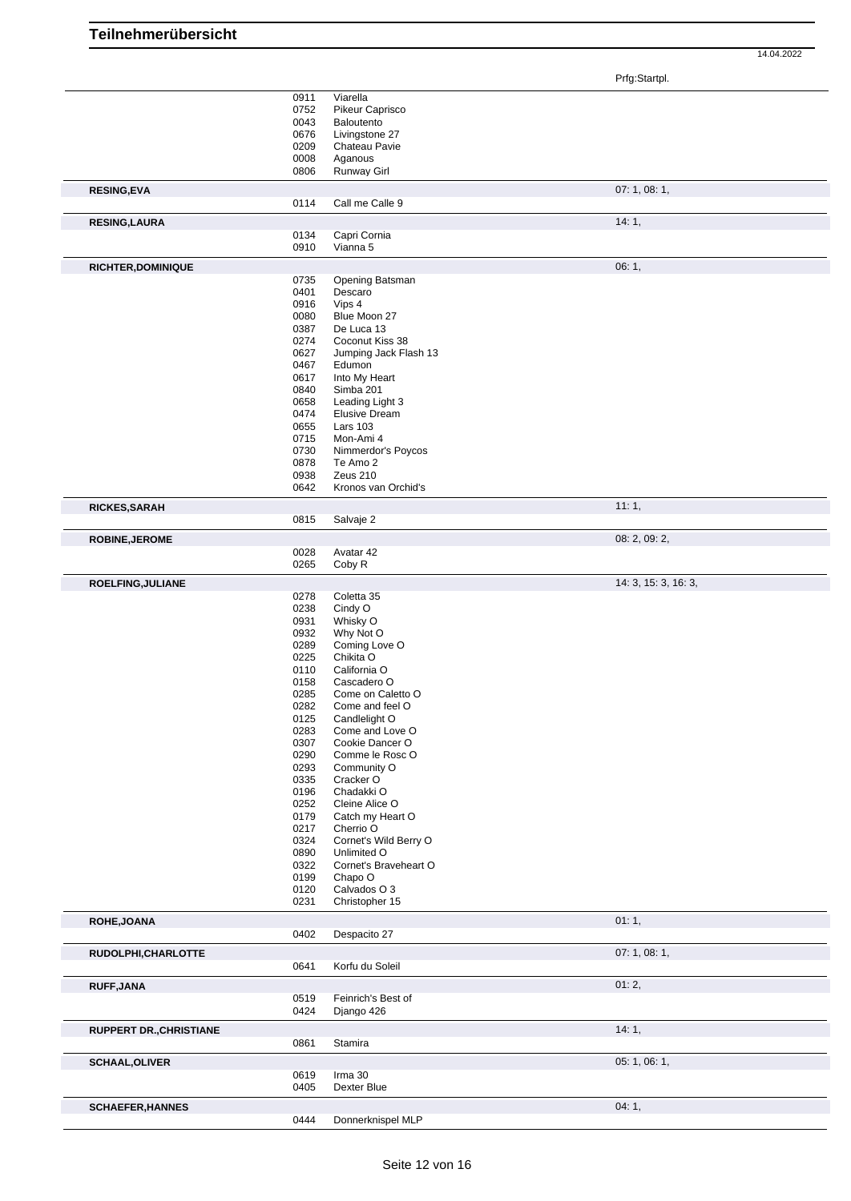| <b>Teilnehmerübersicht</b> |      |                       |               |            |
|----------------------------|------|-----------------------|---------------|------------|
|                            |      |                       |               | 14.04.2022 |
|                            |      |                       | Prfg:Startpl. |            |
|                            | 0911 | Viarella              |               |            |
|                            | 0752 | Pikeur Caprisco       |               |            |
|                            | 0043 | Baloutento            |               |            |
|                            | 0676 | Livingstone 27        |               |            |
|                            | 0209 | Chateau Pavie         |               |            |
|                            |      |                       |               |            |
|                            | 0008 | Aganous               |               |            |
|                            | 0806 | Runway Girl           |               |            |
| <b>RESING,EVA</b>          |      |                       | 07:1,08:1,    |            |
|                            | 0114 | Call me Calle 9       |               |            |
| <b>RESING,LAURA</b>        |      |                       | 14:1,         |            |
|                            | 0134 | Capri Cornia          |               |            |
|                            | 0910 | Vianna 5              |               |            |
|                            |      |                       |               |            |
| <b>RICHTER, DOMINIQUE</b>  |      |                       | 06:1,         |            |
|                            | 0735 | Opening Batsman       |               |            |
|                            | 0401 | Descaro               |               |            |
|                            | 0916 | Vips 4                |               |            |
|                            | 0080 | Blue Moon 27          |               |            |
|                            | 0387 | De Luca 13            |               |            |
|                            | 0274 | Coconut Kiss 38       |               |            |
|                            | 0627 | Jumping Jack Flash 13 |               |            |
|                            | 0467 | Edumon                |               |            |
|                            | 0617 | Into My Heart         |               |            |
|                            | 0840 | Simba 201             |               |            |
|                            | 0658 | Leading Light 3       |               |            |
|                            | 0474 | <b>Elusive Dream</b>  |               |            |
|                            | 0655 | <b>Lars 103</b>       |               |            |
|                            | 0715 | Mon-Ami 4             |               |            |
|                            | 0730 | Nimmerdor's Poycos    |               |            |
|                            | 0878 | Te Amo 2              |               |            |
|                            | 0938 | Zeus 210              |               |            |
|                            | 0642 | Kronos van Orchid's   |               |            |
|                            |      |                       |               |            |
| <b>RICKES, SARAH</b>       |      |                       | 11:1,         |            |
|                            | 0815 | Salvaje 2             |               |            |
| <b>ROBINE, JEROME</b>      |      |                       | 08: 2, 09: 2, |            |
|                            | 0028 | Avatar 42             |               |            |

|                                | 0642         | Kronos van Orchid's           |                      |
|--------------------------------|--------------|-------------------------------|----------------------|
| RICKES, SARAH                  |              |                               | 11:1,                |
|                                | 0815         | Salvaje 2                     |                      |
|                                |              |                               | 08: 2, 09: 2,        |
| <b>ROBINE, JEROME</b>          |              |                               |                      |
|                                | 0028<br>0265 | Avatar 42<br>Coby R           |                      |
|                                |              |                               |                      |
| ROELFING, JULIANE              |              |                               | 14: 3, 15: 3, 16: 3, |
|                                | 0278         | Coletta 35                    |                      |
|                                | 0238         | Cindy O                       |                      |
|                                | 0931         | Whisky O                      |                      |
|                                | 0932         | Why Not O                     |                      |
|                                | 0289<br>0225 | Coming Love O<br>Chikita O    |                      |
|                                | 0110         | California O                  |                      |
|                                | 0158         | Cascadero O                   |                      |
|                                | 0285         | Come on Caletto O             |                      |
|                                | 0282         | Come and feel O               |                      |
|                                | 0125         | Candlelight O                 |                      |
|                                | 0283         | Come and Love O               |                      |
|                                | 0307         | Cookie Dancer O               |                      |
|                                | 0290         | Comme le Rosc O               |                      |
|                                | 0293         | Community O                   |                      |
|                                | 0335         | Cracker O                     |                      |
|                                | 0196         | Chadakki O                    |                      |
|                                | 0252<br>0179 | Cleine Alice O                |                      |
|                                | 0217         | Catch my Heart O<br>Cherrio O |                      |
|                                | 0324         | Cornet's Wild Berry O         |                      |
|                                | 0890         | Unlimited O                   |                      |
|                                | 0322         | Cornet's Braveheart O         |                      |
|                                | 0199         | Chapo O                       |                      |
|                                | 0120         | Calvados O 3                  |                      |
|                                | 0231         | Christopher 15                |                      |
| ROHE, JOANA                    |              |                               | 01:1,                |
|                                | 0402         | Despacito 27                  |                      |
| RUDOLPHI, CHARLOTTE            |              |                               | 07:1,08:1,           |
|                                | 0641         | Korfu du Soleil               |                      |
|                                |              |                               |                      |
| <b>RUFF, JANA</b>              |              |                               | 01:2,                |
|                                | 0519         | Feinrich's Best of            |                      |
|                                | 0424         | Django 426                    |                      |
| <b>RUPPERT DR., CHRISTIANE</b> |              |                               | 14:1,                |
|                                | 0861         | Stamira                       |                      |
| <b>SCHAAL, OLIVER</b>          |              |                               | 05: 1, 06: 1,        |
|                                | 0619         | Irma 30                       |                      |
|                                | 0405         | Dexter Blue                   |                      |
| <b>SCHAEFER, HANNES</b>        |              |                               | 04:1,                |
|                                | 0444         | Donnerknispel MLP             |                      |
|                                |              |                               |                      |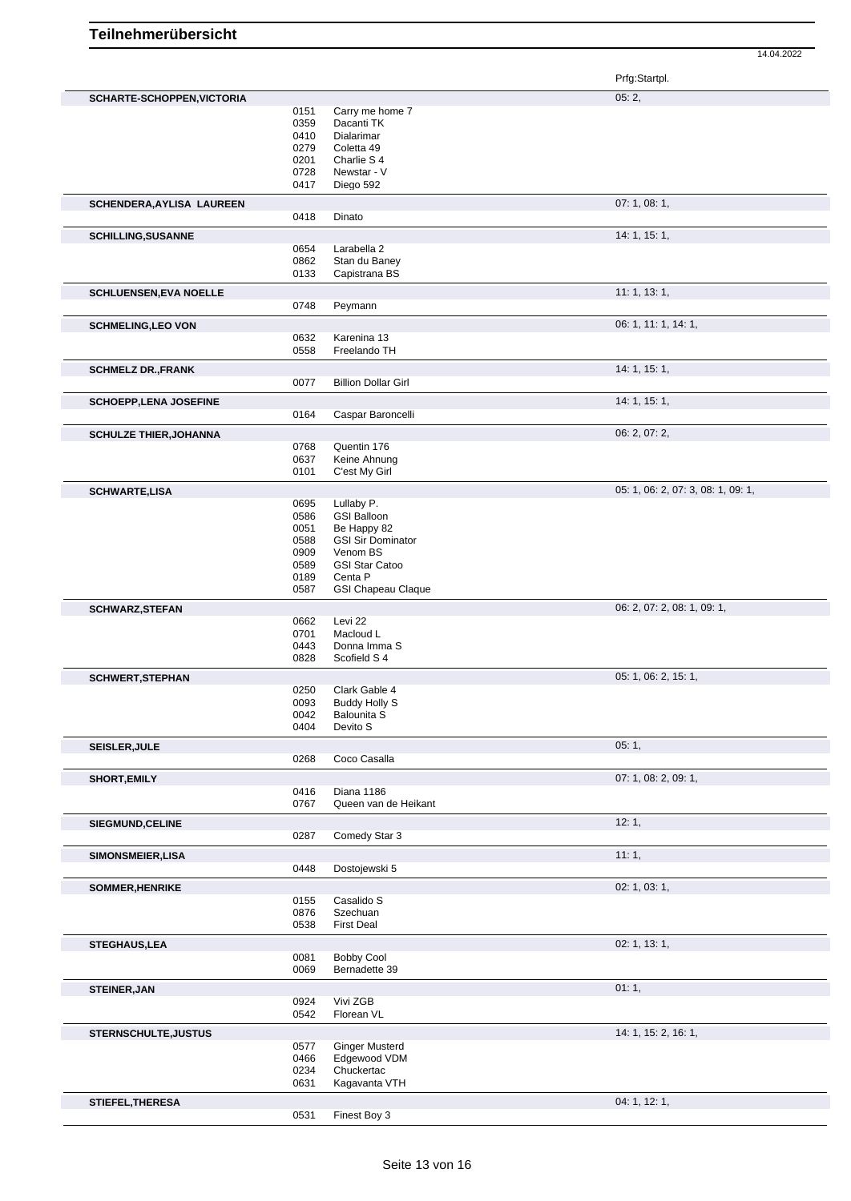|                               |                                                              |                                                                                                                                                          | Prfg:Startpl.                      |
|-------------------------------|--------------------------------------------------------------|----------------------------------------------------------------------------------------------------------------------------------------------------------|------------------------------------|
| SCHARTE-SCHOPPEN, VICTORIA    | 0151<br>0359<br>0410<br>0279<br>0201<br>0728<br>0417         | Carry me home 7<br>Dacanti TK<br>Dialarimar<br>Coletta 49<br>Charlie S 4<br>Newstar - V<br>Diego 592                                                     | 05:2,                              |
| SCHENDERA, AYLISA LAUREEN     |                                                              |                                                                                                                                                          | 07: 1, 08: 1,                      |
|                               | 0418                                                         | Dinato                                                                                                                                                   |                                    |
| <b>SCHILLING, SUSANNE</b>     | 0654<br>0862<br>0133                                         | Larabella 2<br>Stan du Baney<br>Capistrana BS                                                                                                            | 14: 1, 15: 1,                      |
| <b>SCHLUENSEN, EVA NOELLE</b> | 0748                                                         | Peymann                                                                                                                                                  | 11: 1, 13: 1,                      |
| <b>SCHMELING, LEO VON</b>     | 0632<br>0558                                                 | Karenina 13<br>Freelando TH                                                                                                                              | 06: 1, 11: 1, 14: 1,               |
| <b>SCHMELZ DR., FRANK</b>     | 0077                                                         | <b>Billion Dollar Girl</b>                                                                                                                               | 14: 1, 15: 1,                      |
| <b>SCHOEPP, LENA JOSEFINE</b> | 0164                                                         | Caspar Baroncelli                                                                                                                                        | 14: 1, 15: 1,                      |
| <b>SCHULZE THIER, JOHANNA</b> | 0768<br>0637<br>0101                                         | Quentin 176<br>Keine Ahnung<br>C'est My Girl                                                                                                             | 06: 2, 07: 2,                      |
| <b>SCHWARTE,LISA</b>          |                                                              |                                                                                                                                                          | 05: 1, 06: 2, 07: 3, 08: 1, 09: 1, |
|                               | 0695<br>0586<br>0051<br>0588<br>0909<br>0589<br>0189<br>0587 | Lullaby P.<br><b>GSI Balloon</b><br>Be Happy 82<br><b>GSI Sir Dominator</b><br>Venom BS<br><b>GSI Star Catoo</b><br>Centa P<br><b>GSI Chapeau Claque</b> |                                    |
| <b>SCHWARZ, STEFAN</b>        |                                                              |                                                                                                                                                          | 06: 2, 07: 2, 08: 1, 09: 1,        |
|                               | 0662<br>0701<br>0443<br>0828                                 | Levi 22<br>Macloud L<br>Donna Imma S<br>Scofield S <sub>4</sub>                                                                                          |                                    |
| <b>SCHWERT, STEPHAN</b>       |                                                              |                                                                                                                                                          | 05: 1, 06: 2, 15: 1,               |
|                               | 0250<br>0093<br>0042<br>0404                                 | Clark Gable 4<br><b>Buddy Holly S</b><br>Balounita S<br>Devito S                                                                                         |                                    |
| <b>SEISLER, JULE</b>          | 0268                                                         | Coco Casalla                                                                                                                                             | 05:1,                              |
| <b>SHORT, EMILY</b>           | 0416<br>0767                                                 | Diana 1186<br>Queen van de Heikant                                                                                                                       | 07: 1, 08: 2, 09: 1,               |
| <b>SIEGMUND, CELINE</b>       | 0287                                                         | Comedy Star 3                                                                                                                                            | 12:1,                              |
| <b>SIMONSMEIER, LISA</b>      | 0448                                                         | Dostojewski 5                                                                                                                                            | 11:1,                              |
| <b>SOMMER, HENRIKE</b>        |                                                              |                                                                                                                                                          | 02: 1, 03: 1,                      |
|                               | 0155<br>0876<br>0538                                         | Casalido S<br>Szechuan<br><b>First Deal</b>                                                                                                              |                                    |
| <b>STEGHAUS,LEA</b>           | 0081<br>0069                                                 | <b>Bobby Cool</b><br>Bernadette 39                                                                                                                       | 02: 1, 13: 1,                      |
| <b>STEINER, JAN</b>           | 0924<br>0542                                                 | Vivi ZGB<br>Florean VL                                                                                                                                   | 01:1,                              |
| STERNSCHULTE, JUSTUS          | 0577<br>0466<br>0234<br>0631                                 | <b>Ginger Musterd</b><br>Edgewood VDM<br>Chuckertac<br>Kagavanta VTH                                                                                     | 14: 1, 15: 2, 16: 1,               |
| STIEFEL, THERESA              | 0531                                                         | Finest Boy 3                                                                                                                                             | 04: 1, 12: 1,                      |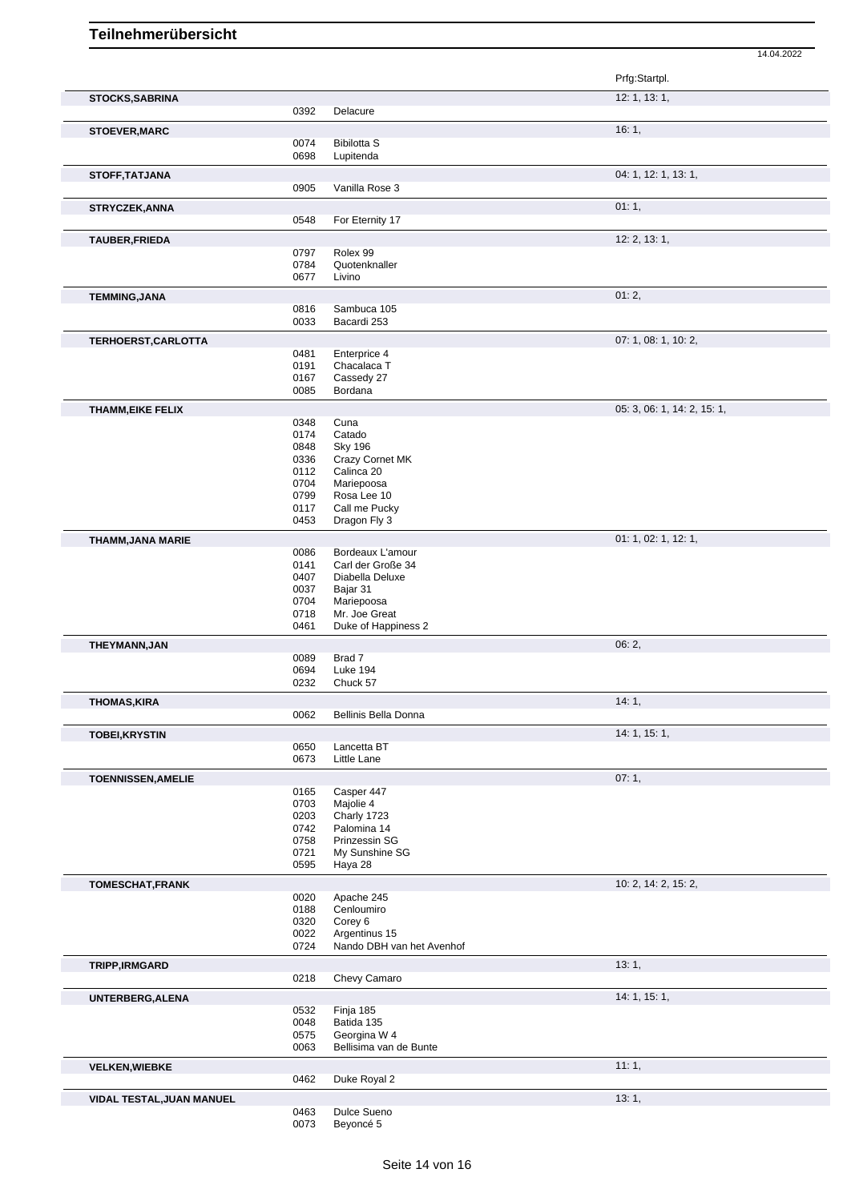|                           |              |                                      | Prfg:Startpl.               |
|---------------------------|--------------|--------------------------------------|-----------------------------|
| <b>STOCKS, SABRINA</b>    | 0392         | Delacure                             | 12: 1, 13: 1,               |
|                           |              |                                      | 16:1,                       |
| STOEVER, MARC             | 0074         | <b>Bibilotta S</b>                   |                             |
|                           | 0698         | Lupitenda                            |                             |
| STOFF, TATJANA            |              |                                      | 04: 1, 12: 1, 13: 1,        |
|                           | 0905         | Vanilla Rose 3                       |                             |
| STRYCZEK, ANNA            |              |                                      | 01:1,                       |
|                           | 0548         | For Eternity 17                      |                             |
| TAUBER, FRIEDA            |              |                                      | 12: 2, 13: 1,               |
|                           | 0797         | Rolex 99                             |                             |
|                           | 0784         | Quotenknaller                        |                             |
|                           | 0677         | Livino                               |                             |
| <b>TEMMING, JANA</b>      |              |                                      | 01:2,                       |
|                           | 0816<br>0033 | Sambuca 105<br>Bacardi 253           |                             |
|                           |              |                                      |                             |
| TERHOERST, CARLOTTA       |              |                                      | 07: 1, 08: 1, 10: 2,        |
|                           | 0481<br>0191 | Enterprice 4<br>Chacalaca T          |                             |
|                           | 0167         | Cassedy 27                           |                             |
|                           | 0085         | Bordana                              |                             |
| <b>THAMM, EIKE FELIX</b>  |              |                                      | 05: 3, 06: 1, 14: 2, 15: 1, |
|                           | 0348         | Cuna                                 |                             |
|                           | 0174         | Catado                               |                             |
|                           | 0848         | <b>Sky 196</b>                       |                             |
|                           | 0336<br>0112 | Crazy Cornet MK<br>Calinca 20        |                             |
|                           | 0704         | Mariepoosa                           |                             |
|                           | 0799         | Rosa Lee 10                          |                             |
|                           | 0117         | Call me Pucky                        |                             |
|                           | 0453         | Dragon Fly 3                         |                             |
| THAMM, JANA MARIE         |              |                                      | 01: 1, 02: 1, 12: 1,        |
|                           | 0086         | Bordeaux L'amour                     |                             |
|                           | 0141<br>0407 | Carl der Große 34<br>Diabella Deluxe |                             |
|                           | 0037         | Bajar 31                             |                             |
|                           | 0704         | Mariepoosa                           |                             |
|                           | 0718         | Mr. Joe Great                        |                             |
|                           | 0461         | Duke of Happiness 2                  |                             |
| THEYMANN, JAN             |              |                                      | 06:2,                       |
|                           | 0089         | Brad 7                               |                             |
|                           | 0694<br>0232 | <b>Luke 194</b><br>Chuck 57          |                             |
|                           |              |                                      |                             |
| <b>THOMAS, KIRA</b>       | 0062         | Bellinis Bella Donna                 | 14:1,                       |
|                           |              |                                      |                             |
| <b>TOBEI, KRYSTIN</b>     | 0650         | Lancetta BT                          | 14: 1, 15: 1,               |
|                           | 0673         | Little Lane                          |                             |
| <b>TOENNISSEN, AMELIE</b> |              |                                      | 07:1,                       |
|                           | 0165         | Casper 447                           |                             |
|                           | 0703         | Majolie 4                            |                             |
|                           | 0203         | Charly 1723                          |                             |
|                           | 0742         | Palomina 14                          |                             |
|                           | 0758<br>0721 | Prinzessin SG<br>My Sunshine SG      |                             |
|                           | 0595         | Haya 28                              |                             |
|                           |              |                                      | 10: 2, 14: 2, 15: 2,        |
| <b>TOMESCHAT, FRANK</b>   | 0020         | Apache 245                           |                             |
|                           | 0188         | Cenloumiro                           |                             |
|                           | 0320         | Corey 6                              |                             |
|                           | 0022         | Argentinus 15                        |                             |
|                           | 0724         | Nando DBH van het Avenhof            |                             |
| TRIPP, IRMGARD            |              |                                      | 13:1,                       |
|                           | 0218         | Chevy Camaro                         |                             |
| UNTERBERG, ALENA          |              |                                      | 14: 1, 15: 1,               |
|                           | 0532         | Finja 185                            |                             |
|                           | 0048<br>0575 | Batida 135<br>Georgina W 4           |                             |
|                           | 0063         | Bellisima van de Bunte               |                             |
|                           |              |                                      | 11:1,                       |
| <b>VELKEN, WIEBKE</b>     | 0462         | Duke Royal 2                         |                             |
|                           |              |                                      |                             |
| VIDAL TESTAL, JUAN MANUEL | 0463         | Dulce Sueno                          | 13:1,                       |
|                           | 0073         | Beyoncé 5                            |                             |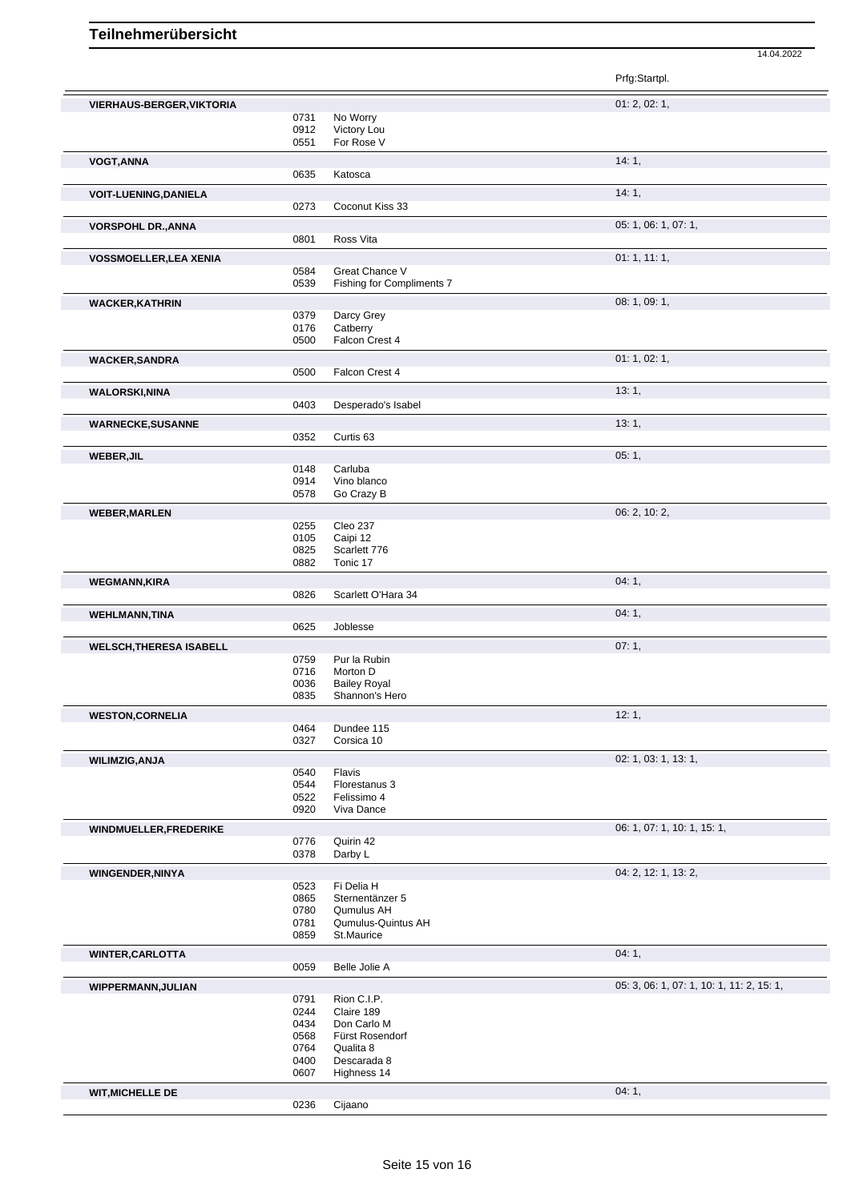Prfg:Startpl. **VIERHAUS-BERGER, VIKTORIA** 0731 No Worry **CONSERVERY 01: 2, 02: 1,** 02: 1, 02: 1, 02: 1, 02: 1, 02: 1, 02: 1, 03: 1, 03: 02: 0731 No Worry No Worry 0912 Victory Lou 0551 For Rose V **VOGT,ANNA** 14: 1, 0635 Katosca **VOIT-LUENING,DANIELA** 14: 1, 0273 Coconut Kiss 33 **VORSPOHL DR.,ANNA** 05: 1, 06: 1, 07: 1, 0801 Ross Vita **VOSSMOELLER,LEA XENIA** 01: 1, 11: 1, 0584 Great Chance V<br>0539 Fishing for Comp Fishing for Compliments 7 **WACKER,KATHRIN** 08: 1, 09: 1, 09: 1, 09: 1, 09: 1, 09: 1, 09: 1, 09: 1, 09: 1, 09: 1, 09: 1, 09: 1, 09: 1, 09: 1, 09: 1, 09: 1, 09: 1, 09: 1, 09: 1, 09: 1, 09: 1, 09: 1, 09: 1, 09: 1, 09: 1, 09: 1, 09: 1, 09: 1, 09: 1, 09 0379 Darcy Grey<br>0176 Catberry 0176 Catberry<br>0500 Falcon C Falcon Crest 4 **WACKER,SANDRA** 01: 1, 02: 1, 02: 1, 02: 1, 02: 1, 02: 1, 02: 1, 02: 1, 02: 1, 02: 1, 02: 1, 02: 1, 02: 1, 02: 1, 02: 1, 02: 1, 02: 1, 02: 1, 02: 1, 02: 1, 02: 1, 02: 1, 02: 1, 02: 1, 02: 1, 02: 1, 02: 1, 02: 1, 02: 1, 02: Falcon Crest 4 **WALORSKI,NINA** 13: 1, Desperado's Isabel **WARNECKE,SUSANNE** 13: 1, 0352 Curtis 63 Curtis 63 **WEBER,JIL** 05: 1, 0148 Carluba<br>0914 Vino bla 0914 Vino blanco<br>0578 Go Crazy B Go Crazy B **WEBER,MARLEN** 06: 2, 10: 2, 0255 Cleo 237 0105 Caipi 12 0825 Scarlett 776<br>0882 Tonic 17 Tonic 17 **WEGMANN,KIRA** 04: 1, 0826 Scarlett O'Hara 34 Scarlett O'Hara 34 **WEHLMANN,TINA** 04: 1, 0625 Joblesse and the control of the control of the control of the control of the control of the control of the control of the control of the control of the control of the control of the control of t **Joblesse WELSCH,THERESA ISABELL** 07: 1, 07:59 Pur la Rubin 0759 Pur la Rubin<br>0716 Morton D 0716 Morton D<br>0036 Bailey Ro 0036 Bailey Royal<br>0835 Shannon's H Shannon's Hero **WESTON,CORNELIA** 12: 1, 0464 Dundee 115<br>0327 Corsica 10 Corsica 10 **WILIMZIG,ANJA** 02: 1, 03: 1, 13: 1, 0540 Flavis<br>0544 Flores 0544 Florestanus 3<br>0522 Felissimo 4 0522 Felissimo 4<br>0920 Viva Dance Viva Dance **WINDMUELLER,FREDERIKE** 06: 1, 07: 1, 10: 1, 15: 1, 0776 Quirin 42<br>0378 Darby L Darby L **WINGENDER,NINYA** 04: 2, 12: 1, 13: 2, 0523 Fi Delia H 0523 Fi Delia H<br>0865 Sternentär Sternentänzer 5 0780 Qumulus AH 0781 Qumulus-Quintus AH 0859 St.Maurice **WINTER,CARLOTTA** 04: 1, 04: 1, 04: 1, 04: 1, 04: 1, 04: 1, 04: 1, 04: 1, 04: 1, 04: 1, 04: 1, 04: 1, 04: 1, 04: 1, 04: 1, 04: 1, 04: 1, 04: 1, 04: 1, 04: 1, 04: 1, 04: 1, 04: 1, 04: 1, 04: 04: 04: 04: 04: 04: 04: 04: 04: 0059 Belle Jolie A **WIPPERMANN,JULIAN** 0791 Rion C.I.P. **CONSERVANT 05: 3, 06: 1, 07: 1, 10: 1, 11:** 2, 15: 1, 0791 Rion C.I.P.<br>0244 Claire 189 0244 Claire 189<br>0434 Don Carlo Don Carlo M 0568 Fürst Rosendorf<br>0764 Qualita 8 0764 Qualita 8<br>0400 Descarad 0400 Descarada 8<br>0607 Highness 14 Highness 14

**WIT, MICHELLE DE** 0236 Cijaano **City Communication Communication** 04: 1,

14.04.2022

Cijaano